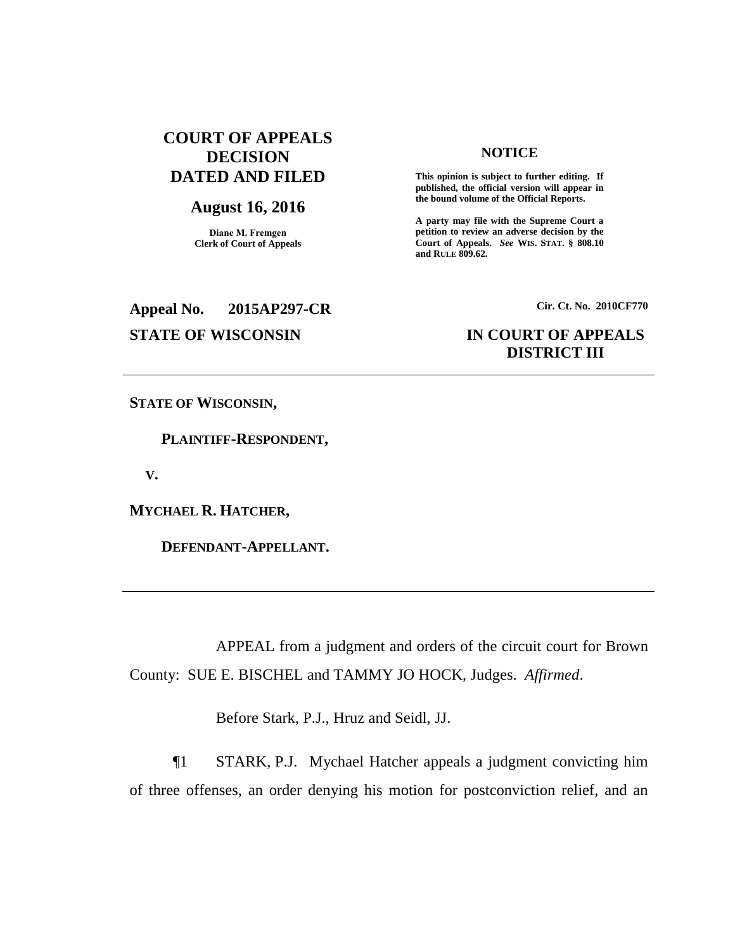# **COURT OF APPEALS DECISION DATED AND FILED**

### **August 16, 2016**

**Diane M. Fremgen Clerk of Court of Appeals**

# **NOTICE**

**This opinion is subject to further editing. If published, the official version will appear in the bound volume of the Official Reports.** 

**A party may file with the Supreme Court a petition to review an adverse decision by the Court of Appeals.** *See* **WIS. STAT. § 808.10 and RULE 809.62.** 

# **Appeal No. 2015AP297-CR Cir. Ct. No. 2010CF770**

# **STATE OF WISCONSIN IN COURT OF APPEALS DISTRICT III**

**STATE OF WISCONSIN,**

 **PLAINTIFF-RESPONDENT,**

 **V.**

**MYCHAEL R. HATCHER,**

 **DEFENDANT-APPELLANT.**

APPEAL from a judgment and orders of the circuit court for Brown County: SUE E. BISCHEL and TAMMY JO HOCK, Judges. *Affirmed*.

Before Stark, P.J., Hruz and Seidl, JJ.

¶1 STARK, P.J. Mychael Hatcher appeals a judgment convicting him of three offenses, an order denying his motion for postconviction relief, and an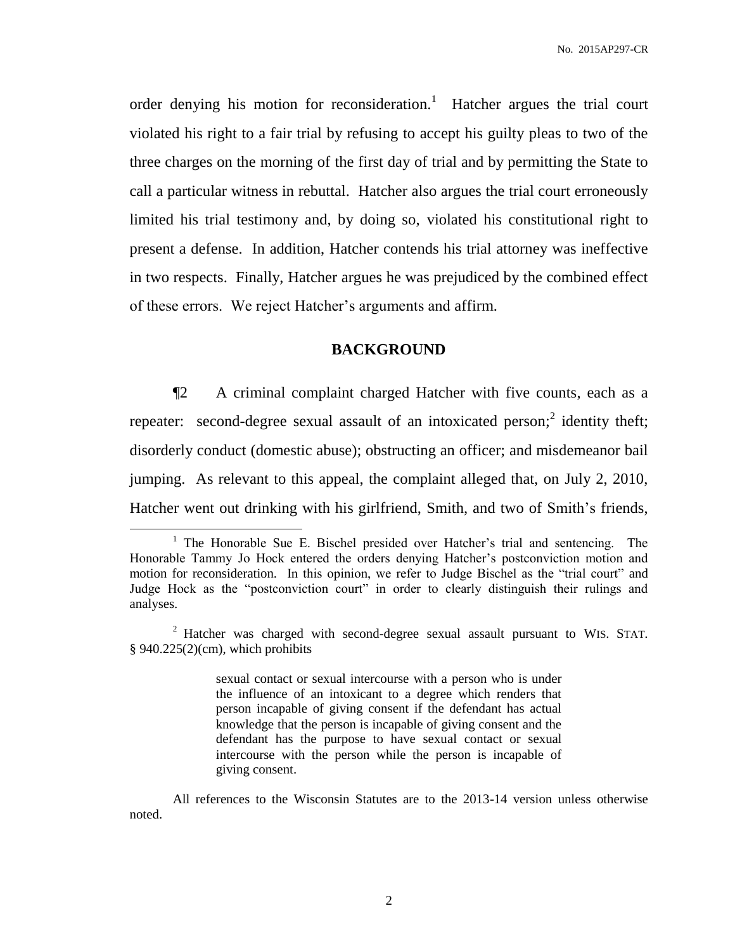order denying his motion for reconsideration.<sup>1</sup> Hatcher argues the trial court violated his right to a fair trial by refusing to accept his guilty pleas to two of the three charges on the morning of the first day of trial and by permitting the State to call a particular witness in rebuttal. Hatcher also argues the trial court erroneously limited his trial testimony and, by doing so, violated his constitutional right to present a defense. In addition, Hatcher contends his trial attorney was ineffective in two respects. Finally, Hatcher argues he was prejudiced by the combined effect of these errors. We reject Hatcher's arguments and affirm.

# **BACKGROUND**

¶2 A criminal complaint charged Hatcher with five counts, each as a repeater: second-degree sexual assault of an intoxicated person;<sup>2</sup> identity theft; disorderly conduct (domestic abuse); obstructing an officer; and misdemeanor bail jumping. As relevant to this appeal, the complaint alleged that, on July 2, 2010, Hatcher went out drinking with his girlfriend, Smith, and two of Smith's friends,

 $\overline{a}$ 

sexual contact or sexual intercourse with a person who is under the influence of an intoxicant to a degree which renders that person incapable of giving consent if the defendant has actual knowledge that the person is incapable of giving consent and the defendant has the purpose to have sexual contact or sexual intercourse with the person while the person is incapable of giving consent.

<sup>&</sup>lt;sup>1</sup> The Honorable Sue E. Bischel presided over Hatcher's trial and sentencing. The Honorable Tammy Jo Hock entered the orders denying Hatcher's postconviction motion and motion for reconsideration. In this opinion, we refer to Judge Bischel as the "trial court" and Judge Hock as the "postconviction court" in order to clearly distinguish their rulings and analyses.

 $2$  Hatcher was charged with second-degree sexual assault pursuant to WIS. STAT.  $§$  940.225(2)(cm), which prohibits

All references to the Wisconsin Statutes are to the 2013-14 version unless otherwise noted.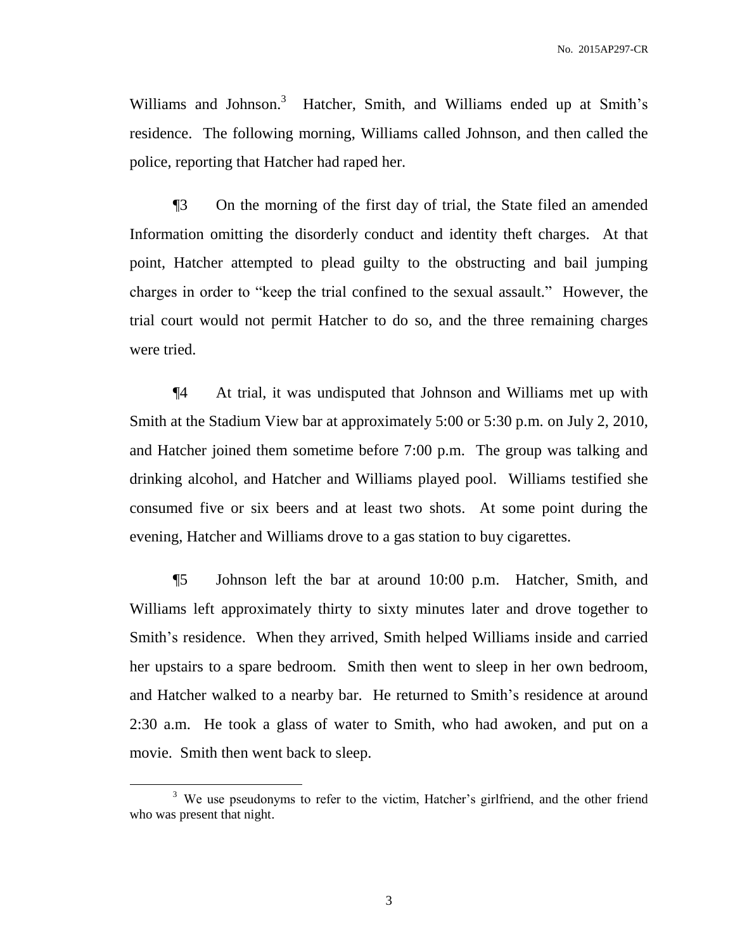Williams and Johnson.<sup>3</sup> Hatcher, Smith, and Williams ended up at Smith's residence. The following morning, Williams called Johnson, and then called the police, reporting that Hatcher had raped her.

¶3 On the morning of the first day of trial, the State filed an amended Information omitting the disorderly conduct and identity theft charges. At that point, Hatcher attempted to plead guilty to the obstructing and bail jumping charges in order to "keep the trial confined to the sexual assault." However, the trial court would not permit Hatcher to do so, and the three remaining charges were tried.

¶4 At trial, it was undisputed that Johnson and Williams met up with Smith at the Stadium View bar at approximately 5:00 or 5:30 p.m. on July 2, 2010, and Hatcher joined them sometime before 7:00 p.m. The group was talking and drinking alcohol, and Hatcher and Williams played pool. Williams testified she consumed five or six beers and at least two shots. At some point during the evening, Hatcher and Williams drove to a gas station to buy cigarettes.

¶5 Johnson left the bar at around 10:00 p.m. Hatcher, Smith, and Williams left approximately thirty to sixty minutes later and drove together to Smith's residence. When they arrived, Smith helped Williams inside and carried her upstairs to a spare bedroom. Smith then went to sleep in her own bedroom, and Hatcher walked to a nearby bar. He returned to Smith's residence at around 2:30 a.m. He took a glass of water to Smith, who had awoken, and put on a movie. Smith then went back to sleep.

<sup>&</sup>lt;sup>3</sup> We use pseudonyms to refer to the victim, Hatcher's girlfriend, and the other friend who was present that night.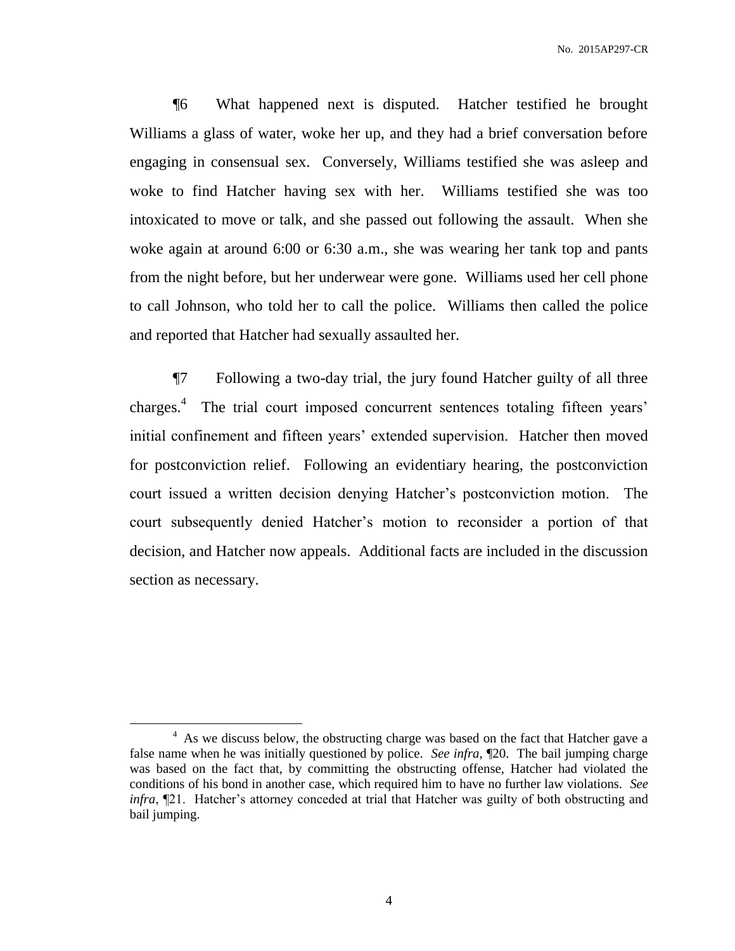¶6 What happened next is disputed. Hatcher testified he brought Williams a glass of water, woke her up, and they had a brief conversation before engaging in consensual sex. Conversely, Williams testified she was asleep and woke to find Hatcher having sex with her. Williams testified she was too intoxicated to move or talk, and she passed out following the assault. When she woke again at around 6:00 or 6:30 a.m., she was wearing her tank top and pants from the night before, but her underwear were gone. Williams used her cell phone to call Johnson, who told her to call the police. Williams then called the police and reported that Hatcher had sexually assaulted her.

¶7 Following a two-day trial, the jury found Hatcher guilty of all three charges.<sup>4</sup> The trial court imposed concurrent sentences totaling fifteen years' initial confinement and fifteen years' extended supervision. Hatcher then moved for postconviction relief. Following an evidentiary hearing, the postconviction court issued a written decision denying Hatcher's postconviction motion. The court subsequently denied Hatcher's motion to reconsider a portion of that decision, and Hatcher now appeals. Additional facts are included in the discussion section as necessary.

<sup>&</sup>lt;sup>4</sup> As we discuss below, the obstructing charge was based on the fact that Hatcher gave a false name when he was initially questioned by police. *See infra*, ¶20. The bail jumping charge was based on the fact that, by committing the obstructing offense, Hatcher had violated the conditions of his bond in another case, which required him to have no further law violations. *See infra*, ¶21. Hatcher's attorney conceded at trial that Hatcher was guilty of both obstructing and bail jumping.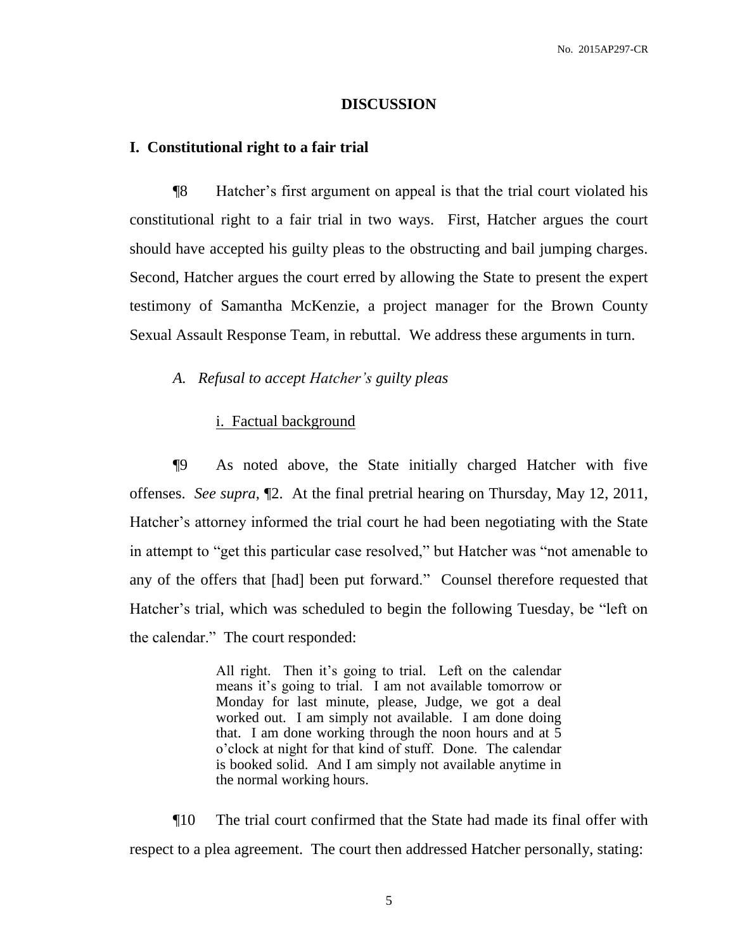#### **DISCUSSION**

#### **I. Constitutional right to a fair trial**

¶8 Hatcher's first argument on appeal is that the trial court violated his constitutional right to a fair trial in two ways. First, Hatcher argues the court should have accepted his guilty pleas to the obstructing and bail jumping charges. Second, Hatcher argues the court erred by allowing the State to present the expert testimony of Samantha McKenzie, a project manager for the Brown County Sexual Assault Response Team, in rebuttal. We address these arguments in turn.

# *A. Refusal to accept Hatcher's guilty pleas*

# i. Factual background

¶9 As noted above, the State initially charged Hatcher with five offenses. *See supra*, ¶2. At the final pretrial hearing on Thursday, May 12, 2011, Hatcher's attorney informed the trial court he had been negotiating with the State in attempt to "get this particular case resolved," but Hatcher was "not amenable to any of the offers that [had] been put forward." Counsel therefore requested that Hatcher's trial, which was scheduled to begin the following Tuesday, be "left on the calendar." The court responded:

> All right. Then it's going to trial. Left on the calendar means it's going to trial. I am not available tomorrow or Monday for last minute, please, Judge, we got a deal worked out. I am simply not available. I am done doing that. I am done working through the noon hours and at 5 o'clock at night for that kind of stuff. Done. The calendar is booked solid. And I am simply not available anytime in the normal working hours.

¶10 The trial court confirmed that the State had made its final offer with respect to a plea agreement. The court then addressed Hatcher personally, stating: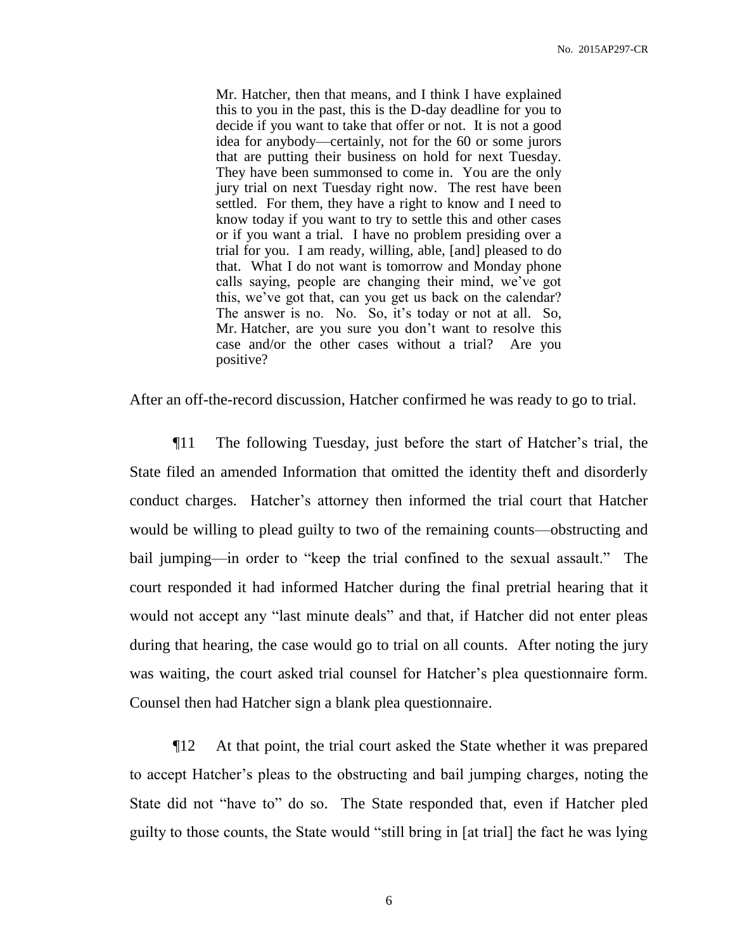Mr. Hatcher, then that means, and I think I have explained this to you in the past, this is the D-day deadline for you to decide if you want to take that offer or not. It is not a good idea for anybody—certainly, not for the 60 or some jurors that are putting their business on hold for next Tuesday. They have been summonsed to come in. You are the only jury trial on next Tuesday right now. The rest have been settled. For them, they have a right to know and I need to know today if you want to try to settle this and other cases or if you want a trial. I have no problem presiding over a trial for you. I am ready, willing, able, [and] pleased to do that. What I do not want is tomorrow and Monday phone calls saying, people are changing their mind, we've got this, we've got that, can you get us back on the calendar? The answer is no. No. So, it's today or not at all. So, Mr. Hatcher, are you sure you don't want to resolve this case and/or the other cases without a trial? Are you positive?

After an off-the-record discussion, Hatcher confirmed he was ready to go to trial.

¶11 The following Tuesday, just before the start of Hatcher's trial, the State filed an amended Information that omitted the identity theft and disorderly conduct charges. Hatcher's attorney then informed the trial court that Hatcher would be willing to plead guilty to two of the remaining counts—obstructing and bail jumping—in order to "keep the trial confined to the sexual assault." The court responded it had informed Hatcher during the final pretrial hearing that it would not accept any "last minute deals" and that, if Hatcher did not enter pleas during that hearing, the case would go to trial on all counts. After noting the jury was waiting, the court asked trial counsel for Hatcher's plea questionnaire form. Counsel then had Hatcher sign a blank plea questionnaire.

¶12 At that point, the trial court asked the State whether it was prepared to accept Hatcher's pleas to the obstructing and bail jumping charges, noting the State did not "have to" do so. The State responded that, even if Hatcher pled guilty to those counts, the State would "still bring in [at trial] the fact he was lying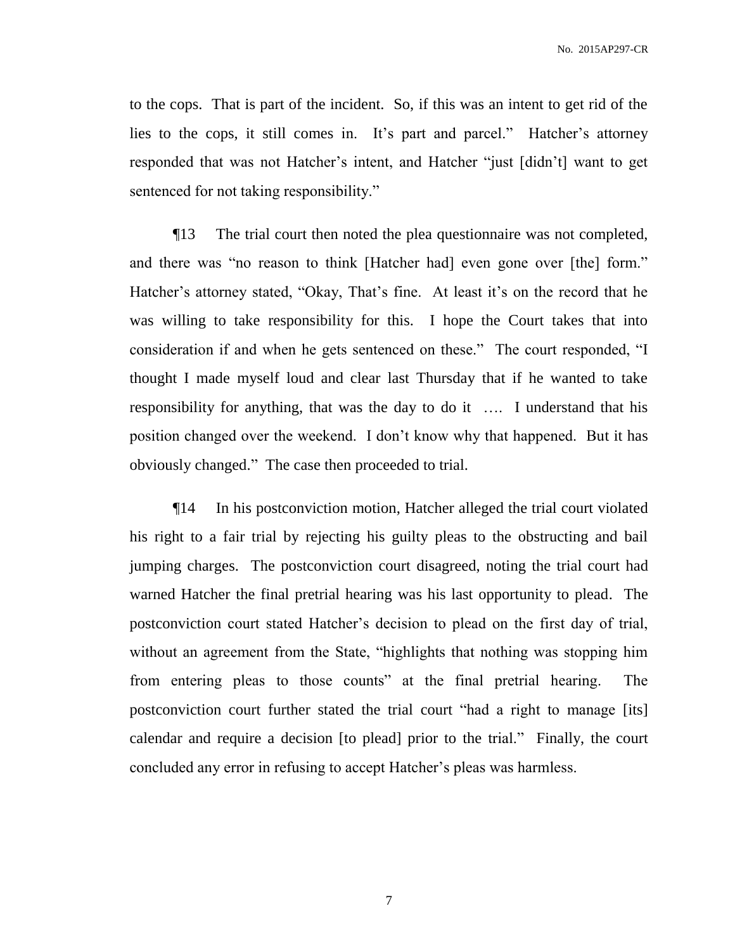to the cops. That is part of the incident. So, if this was an intent to get rid of the lies to the cops, it still comes in. It's part and parcel." Hatcher's attorney responded that was not Hatcher's intent, and Hatcher "just [didn't] want to get sentenced for not taking responsibility."

¶13 The trial court then noted the plea questionnaire was not completed, and there was "no reason to think [Hatcher had] even gone over [the] form." Hatcher's attorney stated, "Okay, That's fine. At least it's on the record that he was willing to take responsibility for this. I hope the Court takes that into consideration if and when he gets sentenced on these." The court responded, "I thought I made myself loud and clear last Thursday that if he wanted to take responsibility for anything, that was the day to do it …. I understand that his position changed over the weekend. I don't know why that happened. But it has obviously changed." The case then proceeded to trial.

¶14 In his postconviction motion, Hatcher alleged the trial court violated his right to a fair trial by rejecting his guilty pleas to the obstructing and bail jumping charges. The postconviction court disagreed, noting the trial court had warned Hatcher the final pretrial hearing was his last opportunity to plead. The postconviction court stated Hatcher's decision to plead on the first day of trial, without an agreement from the State, "highlights that nothing was stopping him from entering pleas to those counts" at the final pretrial hearing. The postconviction court further stated the trial court "had a right to manage [its] calendar and require a decision [to plead] prior to the trial." Finally, the court concluded any error in refusing to accept Hatcher's pleas was harmless.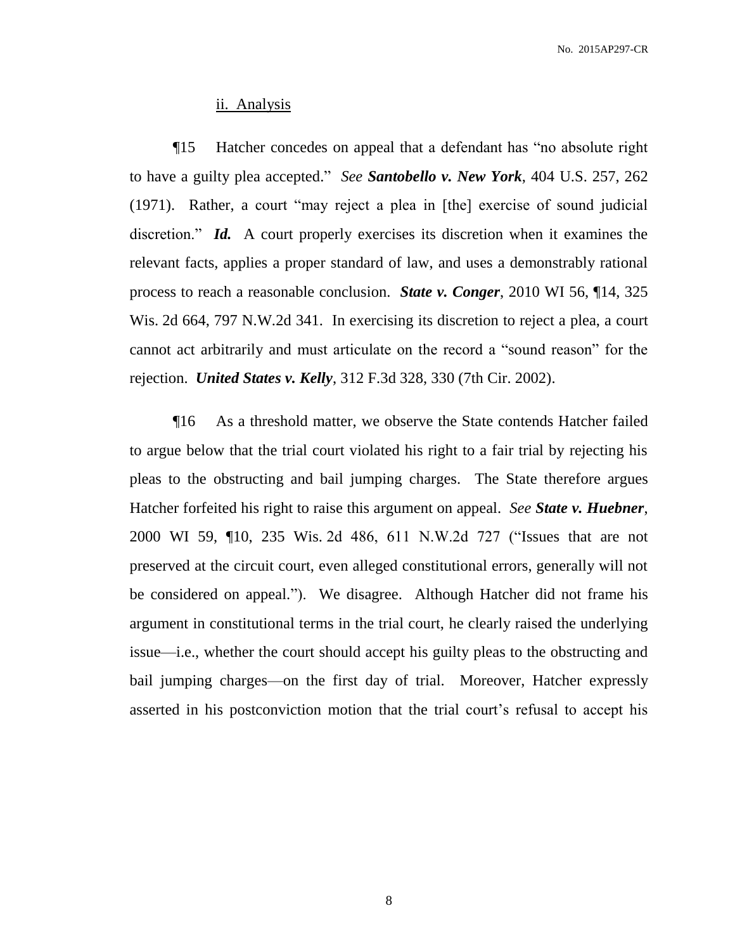No. 2015AP297-CR

#### ii. Analysis

¶15 Hatcher concedes on appeal that a defendant has "no absolute right to have a guilty plea accepted." *See Santobello v. New York*, 404 U.S. 257, 262 (1971). Rather, a court "may reject a plea in [the] exercise of sound judicial discretion." *Id.* A court properly exercises its discretion when it examines the relevant facts, applies a proper standard of law, and uses a demonstrably rational process to reach a reasonable conclusion. *State v. Conger*, 2010 WI 56, ¶14, 325 Wis. 2d 664, 797 N.W.2d 341. In exercising its discretion to reject a plea, a court cannot act arbitrarily and must articulate on the record a "sound reason" for the rejection. *United States v. Kelly*, 312 F.3d 328, 330 (7th Cir. 2002).

¶16 As a threshold matter, we observe the State contends Hatcher failed to argue below that the trial court violated his right to a fair trial by rejecting his pleas to the obstructing and bail jumping charges. The State therefore argues Hatcher forfeited his right to raise this argument on appeal. *See State v. Huebner*, 2000 WI 59, ¶10, 235 Wis. 2d 486, 611 N.W.2d 727 ("Issues that are not preserved at the circuit court, even alleged constitutional errors, generally will not be considered on appeal."). We disagree. Although Hatcher did not frame his argument in constitutional terms in the trial court, he clearly raised the underlying issue—i.e., whether the court should accept his guilty pleas to the obstructing and bail jumping charges—on the first day of trial. Moreover, Hatcher expressly asserted in his postconviction motion that the trial court's refusal to accept his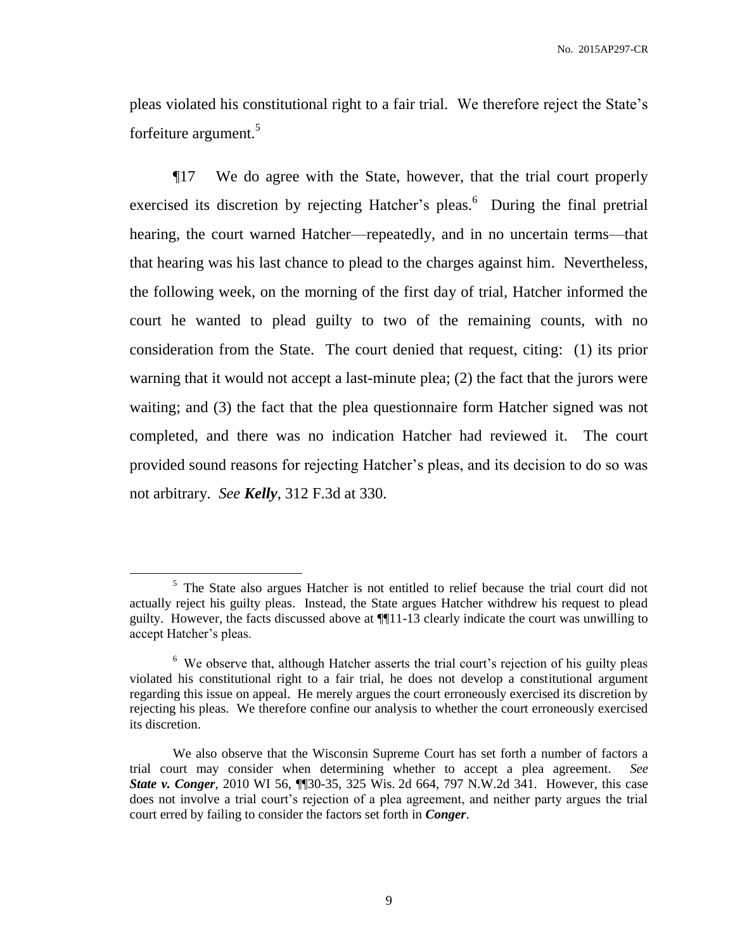pleas violated his constitutional right to a fair trial. We therefore reject the State's forfeiture argument.<sup>5</sup>

¶17 We do agree with the State, however, that the trial court properly exercised its discretion by rejecting Hatcher's pleas.<sup>6</sup> During the final pretrial hearing, the court warned Hatcher—repeatedly, and in no uncertain terms—that that hearing was his last chance to plead to the charges against him. Nevertheless, the following week, on the morning of the first day of trial, Hatcher informed the court he wanted to plead guilty to two of the remaining counts, with no consideration from the State. The court denied that request, citing: (1) its prior warning that it would not accept a last-minute plea; (2) the fact that the jurors were waiting; and (3) the fact that the plea questionnaire form Hatcher signed was not completed, and there was no indication Hatcher had reviewed it. The court provided sound reasons for rejecting Hatcher's pleas, and its decision to do so was not arbitrary. *See Kelly*, 312 F.3d at 330.

<sup>&</sup>lt;sup>5</sup> The State also argues Hatcher is not entitled to relief because the trial court did not actually reject his guilty pleas. Instead, the State argues Hatcher withdrew his request to plead guilty. However, the facts discussed above at ¶¶11-13 clearly indicate the court was unwilling to accept Hatcher's pleas.

<sup>&</sup>lt;sup>6</sup> We observe that, although Hatcher asserts the trial court's rejection of his guilty pleas violated his constitutional right to a fair trial, he does not develop a constitutional argument regarding this issue on appeal. He merely argues the court erroneously exercised its discretion by rejecting his pleas. We therefore confine our analysis to whether the court erroneously exercised its discretion.

We also observe that the Wisconsin Supreme Court has set forth a number of factors a trial court may consider when determining whether to accept a plea agreement. *See State v. Conger*, 2010 WI 56, ¶¶30-35, 325 Wis. 2d 664, 797 N.W.2d 341. However, this case does not involve a trial court's rejection of a plea agreement, and neither party argues the trial court erred by failing to consider the factors set forth in *Conger*.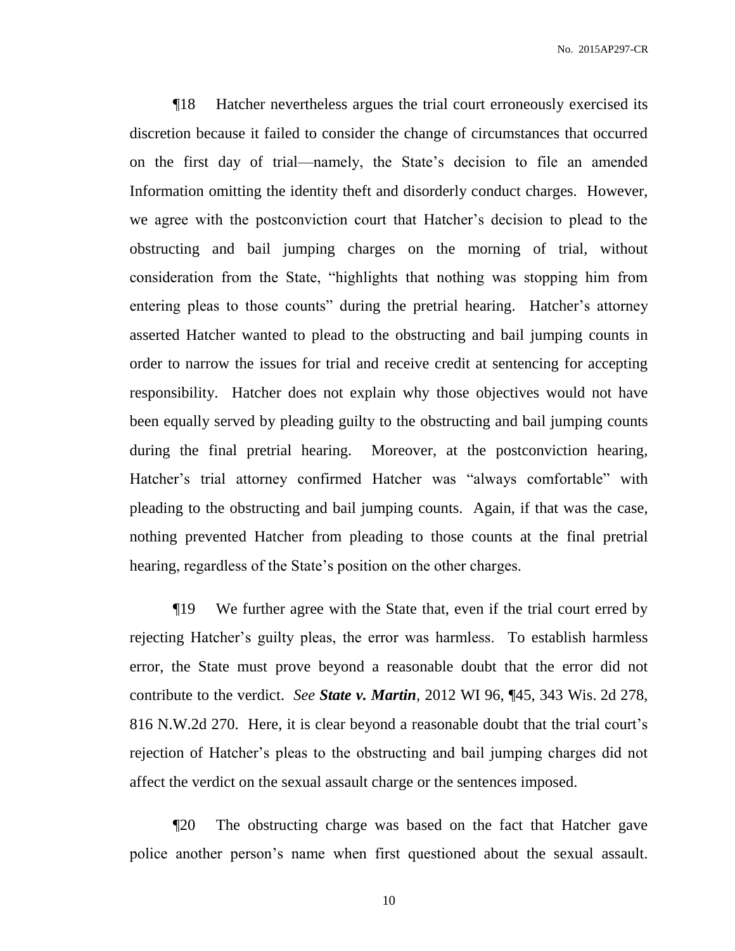¶18 Hatcher nevertheless argues the trial court erroneously exercised its discretion because it failed to consider the change of circumstances that occurred on the first day of trial—namely, the State's decision to file an amended Information omitting the identity theft and disorderly conduct charges. However, we agree with the postconviction court that Hatcher's decision to plead to the obstructing and bail jumping charges on the morning of trial, without consideration from the State, "highlights that nothing was stopping him from entering pleas to those counts" during the pretrial hearing. Hatcher's attorney asserted Hatcher wanted to plead to the obstructing and bail jumping counts in order to narrow the issues for trial and receive credit at sentencing for accepting responsibility. Hatcher does not explain why those objectives would not have been equally served by pleading guilty to the obstructing and bail jumping counts during the final pretrial hearing. Moreover, at the postconviction hearing, Hatcher's trial attorney confirmed Hatcher was "always comfortable" with pleading to the obstructing and bail jumping counts. Again, if that was the case, nothing prevented Hatcher from pleading to those counts at the final pretrial hearing, regardless of the State's position on the other charges.

¶19 We further agree with the State that, even if the trial court erred by rejecting Hatcher's guilty pleas, the error was harmless. To establish harmless error, the State must prove beyond a reasonable doubt that the error did not contribute to the verdict. *See State v. Martin*, 2012 WI 96, ¶45, 343 Wis. 2d 278, 816 N.W.2d 270. Here, it is clear beyond a reasonable doubt that the trial court's rejection of Hatcher's pleas to the obstructing and bail jumping charges did not affect the verdict on the sexual assault charge or the sentences imposed.

¶20 The obstructing charge was based on the fact that Hatcher gave police another person's name when first questioned about the sexual assault.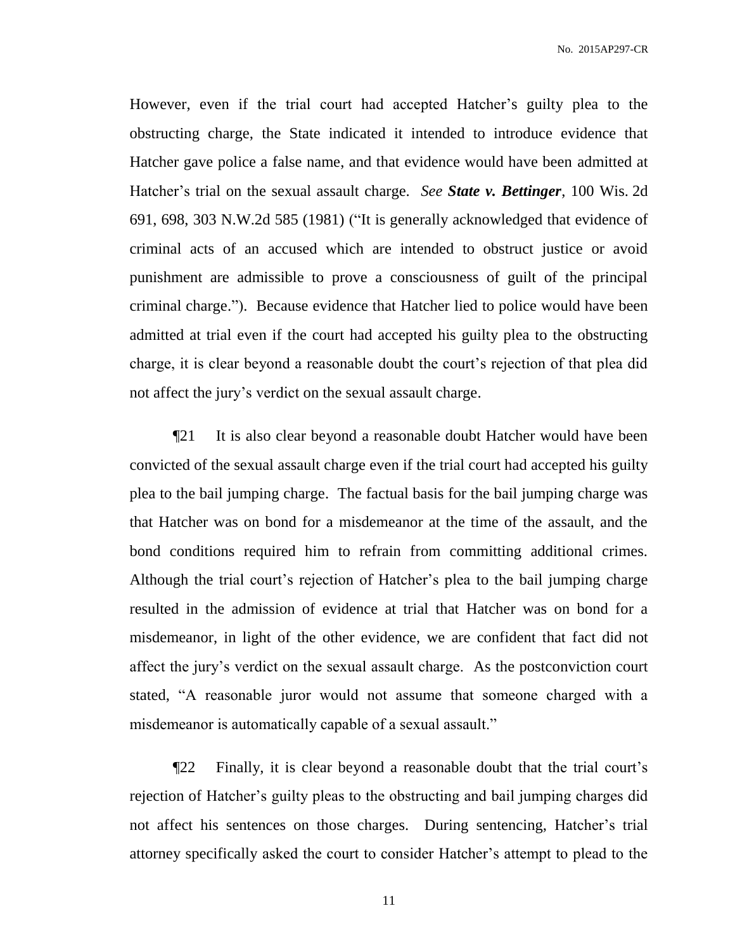No. 2015AP297-CR

However, even if the trial court had accepted Hatcher's guilty plea to the obstructing charge, the State indicated it intended to introduce evidence that Hatcher gave police a false name, and that evidence would have been admitted at Hatcher's trial on the sexual assault charge. *See State v. Bettinger*, 100 Wis. 2d 691, 698, 303 N.W.2d 585 (1981) ("It is generally acknowledged that evidence of criminal acts of an accused which are intended to obstruct justice or avoid punishment are admissible to prove a consciousness of guilt of the principal criminal charge."). Because evidence that Hatcher lied to police would have been admitted at trial even if the court had accepted his guilty plea to the obstructing charge, it is clear beyond a reasonable doubt the court's rejection of that plea did not affect the jury's verdict on the sexual assault charge.

¶21 It is also clear beyond a reasonable doubt Hatcher would have been convicted of the sexual assault charge even if the trial court had accepted his guilty plea to the bail jumping charge. The factual basis for the bail jumping charge was that Hatcher was on bond for a misdemeanor at the time of the assault, and the bond conditions required him to refrain from committing additional crimes. Although the trial court's rejection of Hatcher's plea to the bail jumping charge resulted in the admission of evidence at trial that Hatcher was on bond for a misdemeanor, in light of the other evidence, we are confident that fact did not affect the jury's verdict on the sexual assault charge. As the postconviction court stated, "A reasonable juror would not assume that someone charged with a misdemeanor is automatically capable of a sexual assault."

¶22 Finally, it is clear beyond a reasonable doubt that the trial court's rejection of Hatcher's guilty pleas to the obstructing and bail jumping charges did not affect his sentences on those charges. During sentencing, Hatcher's trial attorney specifically asked the court to consider Hatcher's attempt to plead to the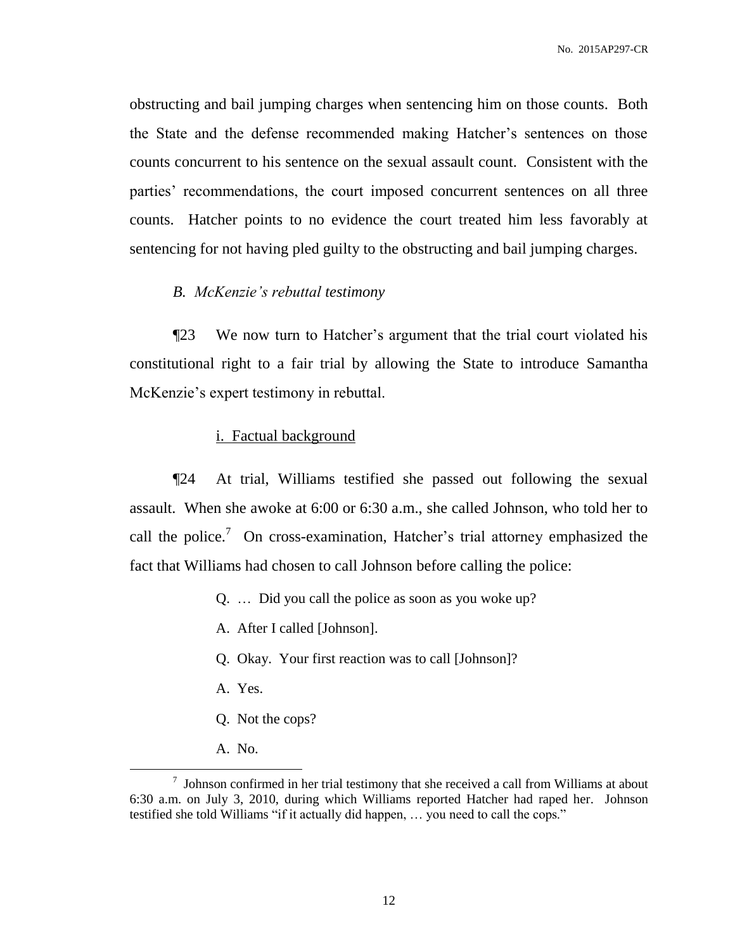obstructing and bail jumping charges when sentencing him on those counts. Both the State and the defense recommended making Hatcher's sentences on those counts concurrent to his sentence on the sexual assault count. Consistent with the parties' recommendations, the court imposed concurrent sentences on all three counts. Hatcher points to no evidence the court treated him less favorably at sentencing for not having pled guilty to the obstructing and bail jumping charges.

# *B. McKenzie's rebuttal testimony*

¶23 We now turn to Hatcher's argument that the trial court violated his constitutional right to a fair trial by allowing the State to introduce Samantha McKenzie's expert testimony in rebuttal.

#### i. Factual background

¶24 At trial, Williams testified she passed out following the sexual assault. When she awoke at 6:00 or 6:30 a.m., she called Johnson, who told her to call the police.<sup>7</sup> On cross-examination, Hatcher's trial attorney emphasized the fact that Williams had chosen to call Johnson before calling the police:

- Q. … Did you call the police as soon as you woke up?
- A. After I called [Johnson].
- Q. Okay. Your first reaction was to call [Johnson]?
- A. Yes.
- Q. Not the cops?
- A. No.

 $\frac{7}{1}$  Johnson confirmed in her trial testimony that she received a call from Williams at about 6:30 a.m. on July 3, 2010, during which Williams reported Hatcher had raped her. Johnson testified she told Williams "if it actually did happen, … you need to call the cops."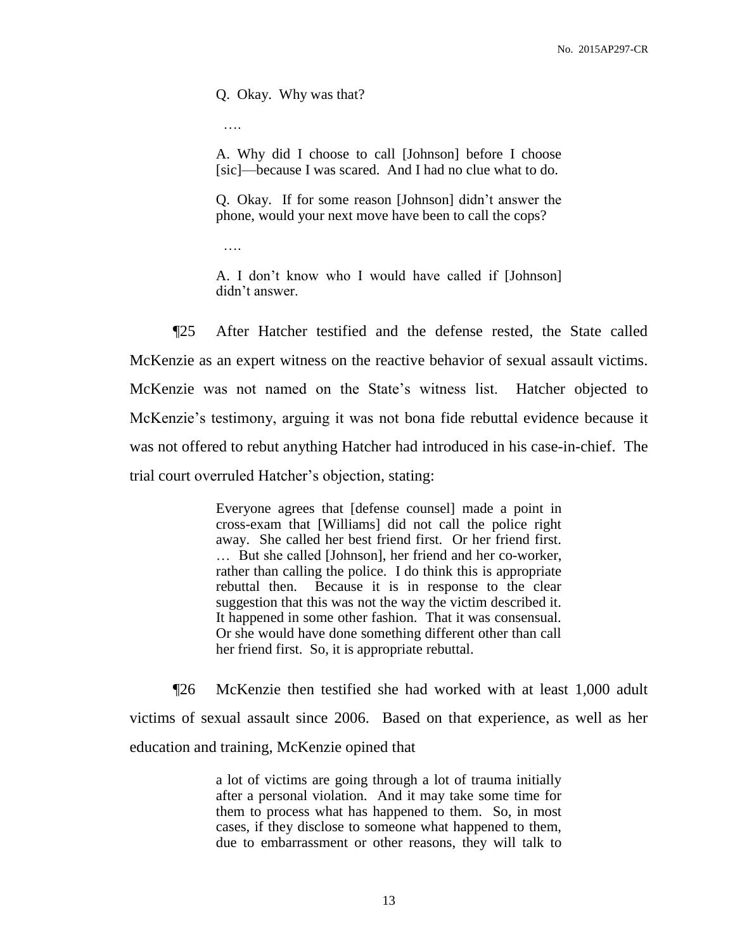Q. Okay. Why was that?

….

A. Why did I choose to call [Johnson] before I choose [sic]—because I was scared. And I had no clue what to do.

Q. Okay. If for some reason [Johnson] didn't answer the phone, would your next move have been to call the cops?

….

A. I don't know who I would have called if [Johnson] didn't answer.

¶25 After Hatcher testified and the defense rested, the State called McKenzie as an expert witness on the reactive behavior of sexual assault victims. McKenzie was not named on the State's witness list. Hatcher objected to McKenzie's testimony, arguing it was not bona fide rebuttal evidence because it was not offered to rebut anything Hatcher had introduced in his case-in-chief. The trial court overruled Hatcher's objection, stating:

> Everyone agrees that [defense counsel] made a point in cross-exam that [Williams] did not call the police right away. She called her best friend first. Or her friend first. … But she called [Johnson], her friend and her co-worker, rather than calling the police. I do think this is appropriate rebuttal then. Because it is in response to the clear suggestion that this was not the way the victim described it. It happened in some other fashion. That it was consensual. Or she would have done something different other than call her friend first. So, it is appropriate rebuttal.

¶26 McKenzie then testified she had worked with at least 1,000 adult victims of sexual assault since 2006. Based on that experience, as well as her education and training, McKenzie opined that

> a lot of victims are going through a lot of trauma initially after a personal violation. And it may take some time for them to process what has happened to them. So, in most cases, if they disclose to someone what happened to them, due to embarrassment or other reasons, they will talk to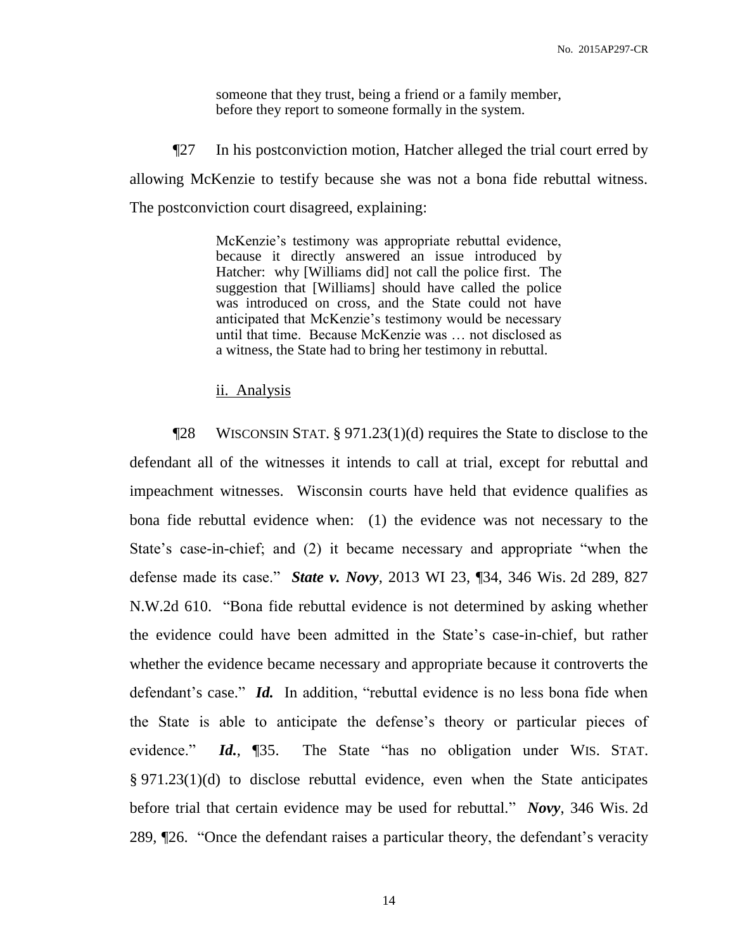someone that they trust, being a friend or a family member, before they report to someone formally in the system.

¶27 In his postconviction motion, Hatcher alleged the trial court erred by allowing McKenzie to testify because she was not a bona fide rebuttal witness. The postconviction court disagreed, explaining:

> McKenzie's testimony was appropriate rebuttal evidence, because it directly answered an issue introduced by Hatcher: why [Williams did] not call the police first. The suggestion that [Williams] should have called the police was introduced on cross, and the State could not have anticipated that McKenzie's testimony would be necessary until that time. Because McKenzie was … not disclosed as a witness, the State had to bring her testimony in rebuttal.

#### ii. Analysis

¶28 WISCONSIN STAT. § 971.23(1)(d) requires the State to disclose to the defendant all of the witnesses it intends to call at trial, except for rebuttal and impeachment witnesses. Wisconsin courts have held that evidence qualifies as bona fide rebuttal evidence when: (1) the evidence was not necessary to the State's case-in-chief; and (2) it became necessary and appropriate "when the defense made its case." *State v. Novy*, 2013 WI 23, ¶34, 346 Wis. 2d 289, 827 N.W.2d 610. "Bona fide rebuttal evidence is not determined by asking whether the evidence could have been admitted in the State's case-in-chief, but rather whether the evidence became necessary and appropriate because it controverts the defendant's case." *Id.* In addition, "rebuttal evidence is no less bona fide when the State is able to anticipate the defense's theory or particular pieces of evidence." *Id.*, ¶35. The State "has no obligation under WIS. STAT. § 971.23(1)(d) to disclose rebuttal evidence, even when the State anticipates before trial that certain evidence may be used for rebuttal." *Novy*, 346 Wis. 2d 289, ¶26. "Once the defendant raises a particular theory, the defendant's veracity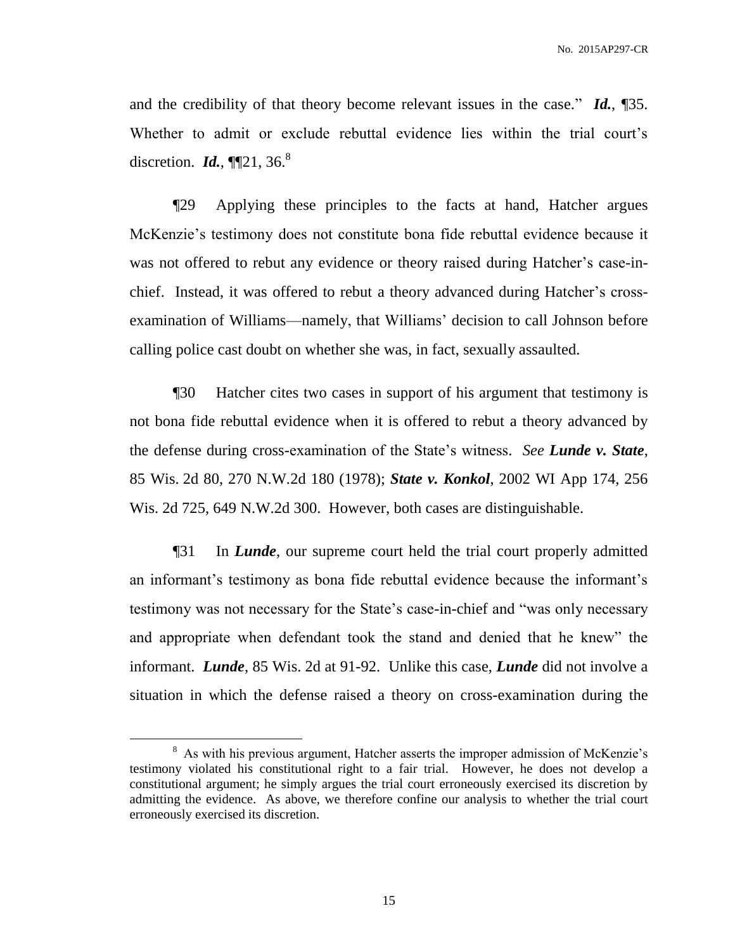and the credibility of that theory become relevant issues in the case." *Id.*, ¶35. Whether to admit or exclude rebuttal evidence lies within the trial court's discretion. *Id.*, **[121**, 36.<sup>8</sup>]

¶29 Applying these principles to the facts at hand, Hatcher argues McKenzie's testimony does not constitute bona fide rebuttal evidence because it was not offered to rebut any evidence or theory raised during Hatcher's case-inchief. Instead, it was offered to rebut a theory advanced during Hatcher's crossexamination of Williams—namely, that Williams' decision to call Johnson before calling police cast doubt on whether she was, in fact, sexually assaulted.

¶30 Hatcher cites two cases in support of his argument that testimony is not bona fide rebuttal evidence when it is offered to rebut a theory advanced by the defense during cross-examination of the State's witness. *See Lunde v. State*, 85 Wis. 2d 80, 270 N.W.2d 180 (1978); *State v. Konkol*, 2002 WI App 174, 256 Wis. 2d 725, 649 N.W.2d 300. However, both cases are distinguishable.

¶31 In *Lunde*, our supreme court held the trial court properly admitted an informant's testimony as bona fide rebuttal evidence because the informant's testimony was not necessary for the State's case-in-chief and "was only necessary and appropriate when defendant took the stand and denied that he knew" the informant. *Lunde*, 85 Wis. 2d at 91-92. Unlike this case, *Lunde* did not involve a situation in which the defense raised a theory on cross-examination during the

<sup>&</sup>lt;sup>8</sup> As with his previous argument, Hatcher asserts the improper admission of McKenzie's testimony violated his constitutional right to a fair trial. However, he does not develop a constitutional argument; he simply argues the trial court erroneously exercised its discretion by admitting the evidence. As above, we therefore confine our analysis to whether the trial court erroneously exercised its discretion.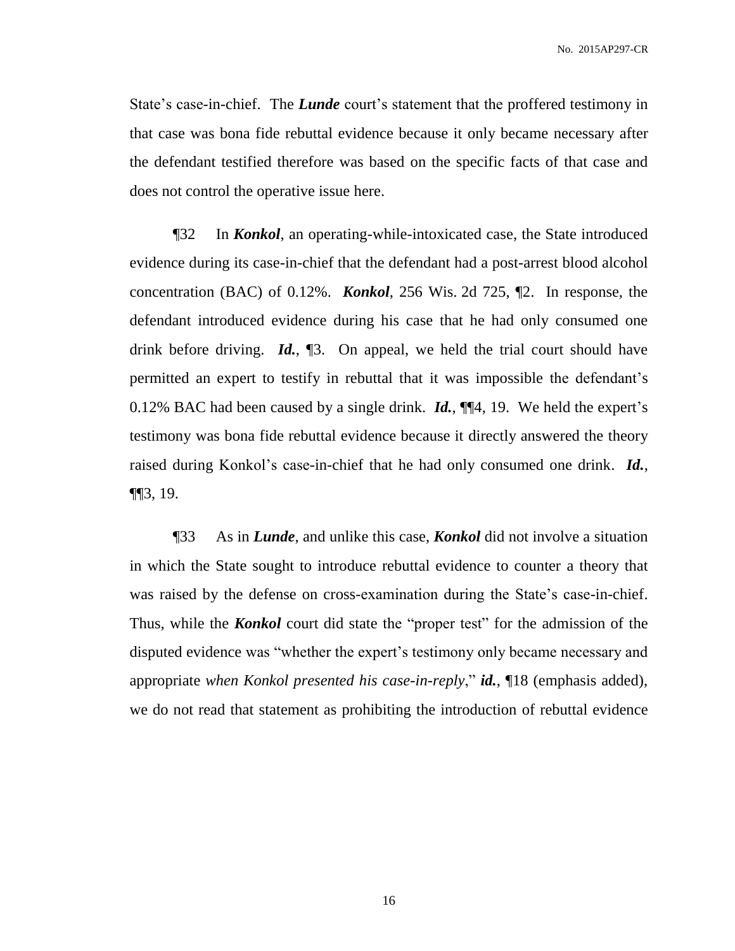State's case-in-chief. The *Lunde* court's statement that the proffered testimony in that case was bona fide rebuttal evidence because it only became necessary after the defendant testified therefore was based on the specific facts of that case and does not control the operative issue here.

¶32 In *Konkol*, an operating-while-intoxicated case, the State introduced evidence during its case-in-chief that the defendant had a post-arrest blood alcohol concentration (BAC) of 0.12%. *Konkol*, 256 Wis. 2d 725, ¶2. In response, the defendant introduced evidence during his case that he had only consumed one drink before driving. *Id.*, ¶3. On appeal, we held the trial court should have permitted an expert to testify in rebuttal that it was impossible the defendant's 0.12% BAC had been caused by a single drink. *Id.*, ¶¶4, 19. We held the expert's testimony was bona fide rebuttal evidence because it directly answered the theory raised during Konkol's case-in-chief that he had only consumed one drink. *Id.*, ¶¶3, 19.

¶33 As in *Lunde*, and unlike this case, *Konkol* did not involve a situation in which the State sought to introduce rebuttal evidence to counter a theory that was raised by the defense on cross-examination during the State's case-in-chief. Thus, while the *Konkol* court did state the "proper test" for the admission of the disputed evidence was "whether the expert's testimony only became necessary and appropriate *when Konkol presented his case-in-reply*," *id.*, ¶18 (emphasis added), we do not read that statement as prohibiting the introduction of rebuttal evidence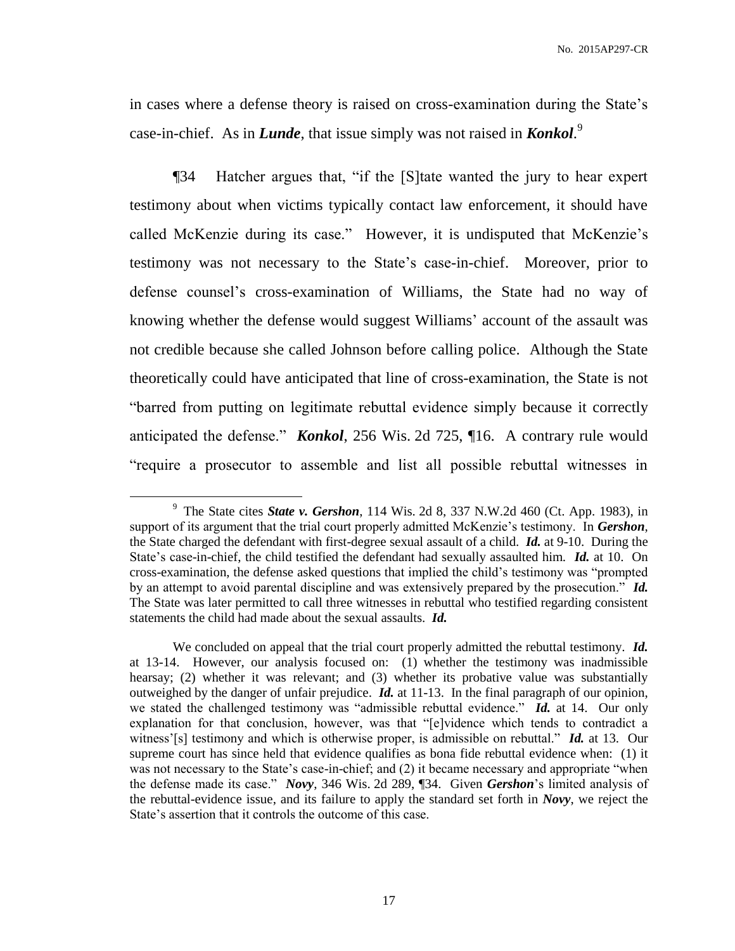in cases where a defense theory is raised on cross-examination during the State's case-in-chief. As in *Lunde*, that issue simply was not raised in *Konkol*. 9

¶34 Hatcher argues that, "if the [S]tate wanted the jury to hear expert testimony about when victims typically contact law enforcement, it should have called McKenzie during its case." However, it is undisputed that McKenzie's testimony was not necessary to the State's case-in-chief. Moreover, prior to defense counsel's cross-examination of Williams, the State had no way of knowing whether the defense would suggest Williams' account of the assault was not credible because she called Johnson before calling police. Although the State theoretically could have anticipated that line of cross-examination, the State is not "barred from putting on legitimate rebuttal evidence simply because it correctly anticipated the defense." *Konkol*, 256 Wis. 2d 725, ¶16. A contrary rule would "require a prosecutor to assemble and list all possible rebuttal witnesses in

<sup>9</sup> The State cites *State v. Gershon*, 114 Wis. 2d 8, 337 N.W.2d 460 (Ct. App. 1983), in support of its argument that the trial court properly admitted McKenzie's testimony. In *Gershon*, the State charged the defendant with first-degree sexual assault of a child. *Id.* at 9-10. During the State's case-in-chief, the child testified the defendant had sexually assaulted him. *Id.* at 10. On cross-examination, the defense asked questions that implied the child's testimony was "prompted by an attempt to avoid parental discipline and was extensively prepared by the prosecution." *Id.* The State was later permitted to call three witnesses in rebuttal who testified regarding consistent statements the child had made about the sexual assaults. *Id.*

We concluded on appeal that the trial court properly admitted the rebuttal testimony. *Id.* at 13-14. However, our analysis focused on: (1) whether the testimony was inadmissible hearsay; (2) whether it was relevant; and (3) whether its probative value was substantially outweighed by the danger of unfair prejudice. *Id.* at 11-13. In the final paragraph of our opinion, we stated the challenged testimony was "admissible rebuttal evidence." *Id.* at 14. Our only explanation for that conclusion, however, was that "[e]vidence which tends to contradict a witness'[s] testimony and which is otherwise proper, is admissible on rebuttal." *Id.* at 13. Our supreme court has since held that evidence qualifies as bona fide rebuttal evidence when: (1) it was not necessary to the State's case-in-chief; and (2) it became necessary and appropriate "when the defense made its case." *Novy*, 346 Wis. 2d 289, ¶34. Given *Gershon*'s limited analysis of the rebuttal-evidence issue, and its failure to apply the standard set forth in *Novy*, we reject the State's assertion that it controls the outcome of this case.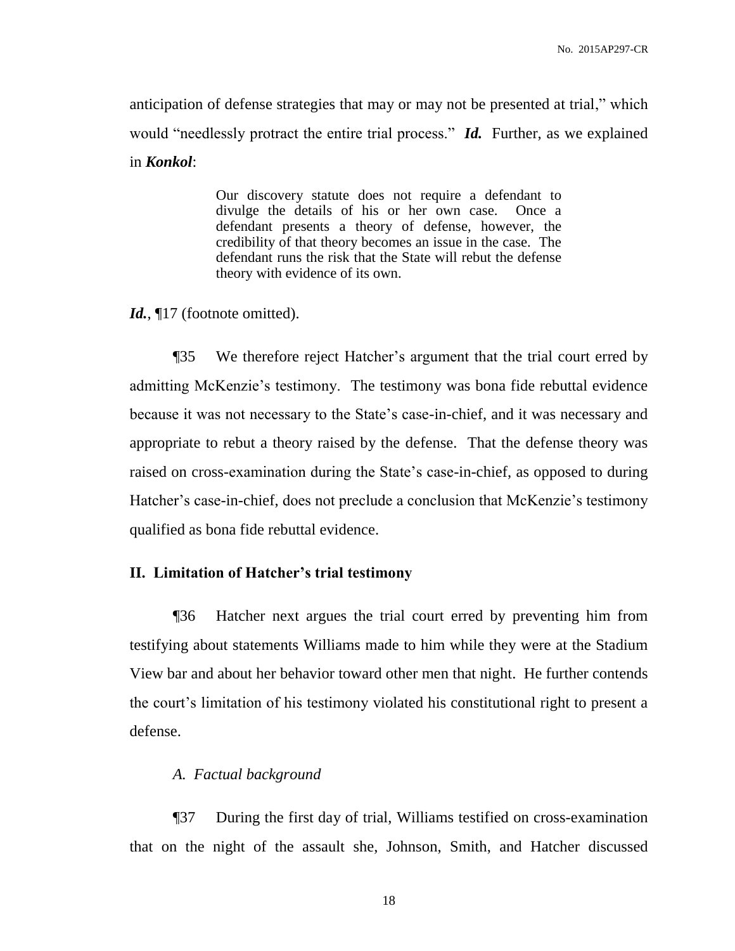anticipation of defense strategies that may or may not be presented at trial," which would "needlessly protract the entire trial process." *Id.* Further, as we explained in *Konkol*:

> Our discovery statute does not require a defendant to divulge the details of his or her own case. Once a defendant presents a theory of defense, however, the credibility of that theory becomes an issue in the case. The defendant runs the risk that the State will rebut the defense theory with evidence of its own.

Id.,  $\P$ 17 (footnote omitted).

¶35 We therefore reject Hatcher's argument that the trial court erred by admitting McKenzie's testimony. The testimony was bona fide rebuttal evidence because it was not necessary to the State's case-in-chief, and it was necessary and appropriate to rebut a theory raised by the defense. That the defense theory was raised on cross-examination during the State's case-in-chief, as opposed to during Hatcher's case-in-chief, does not preclude a conclusion that McKenzie's testimony qualified as bona fide rebuttal evidence.

# **II. Limitation of Hatcher's trial testimony**

¶36 Hatcher next argues the trial court erred by preventing him from testifying about statements Williams made to him while they were at the Stadium View bar and about her behavior toward other men that night. He further contends the court's limitation of his testimony violated his constitutional right to present a defense.

# *A. Factual background*

¶37 During the first day of trial, Williams testified on cross-examination that on the night of the assault she, Johnson, Smith, and Hatcher discussed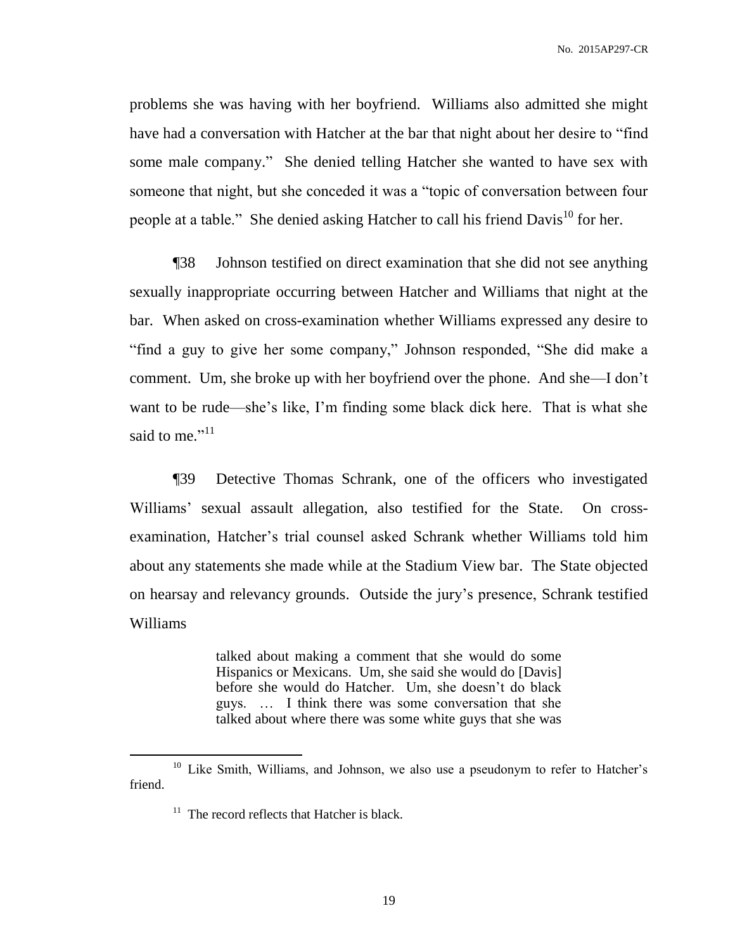problems she was having with her boyfriend. Williams also admitted she might have had a conversation with Hatcher at the bar that night about her desire to "find some male company." She denied telling Hatcher she wanted to have sex with someone that night, but she conceded it was a "topic of conversation between four people at a table." She denied asking Hatcher to call his friend  $Davis^{10}$  for her.

¶38 Johnson testified on direct examination that she did not see anything sexually inappropriate occurring between Hatcher and Williams that night at the bar. When asked on cross-examination whether Williams expressed any desire to "find a guy to give her some company," Johnson responded, "She did make a comment. Um, she broke up with her boyfriend over the phone. And she—I don't want to be rude—she's like, I'm finding some black dick here. That is what she said to me."<sup>11</sup>

¶39 Detective Thomas Schrank, one of the officers who investigated Williams' sexual assault allegation, also testified for the State. On crossexamination, Hatcher's trial counsel asked Schrank whether Williams told him about any statements she made while at the Stadium View bar. The State objected on hearsay and relevancy grounds. Outside the jury's presence, Schrank testified Williams

> talked about making a comment that she would do some Hispanics or Mexicans. Um, she said she would do [Davis] before she would do Hatcher. Um, she doesn't do black guys. … I think there was some conversation that she talked about where there was some white guys that she was

<sup>&</sup>lt;sup>10</sup> Like Smith, Williams, and Johnson, we also use a pseudonym to refer to Hatcher's friend.

<sup>&</sup>lt;sup>11</sup> The record reflects that Hatcher is black.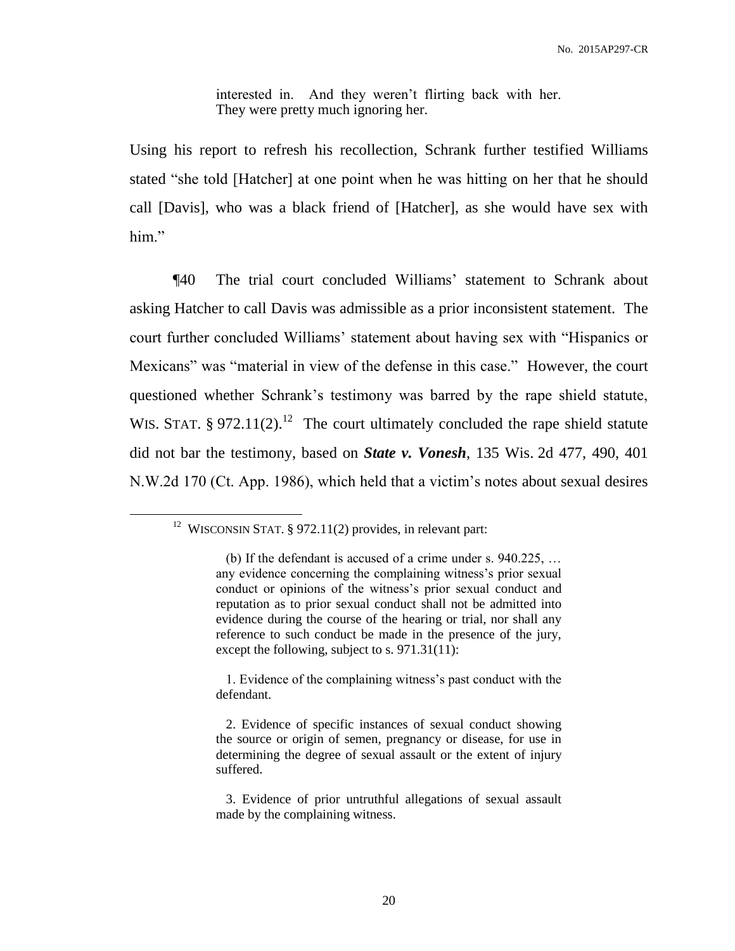interested in. And they weren't flirting back with her. They were pretty much ignoring her.

Using his report to refresh his recollection, Schrank further testified Williams stated "she told [Hatcher] at one point when he was hitting on her that he should call [Davis], who was a black friend of [Hatcher], as she would have sex with him."

¶40 The trial court concluded Williams' statement to Schrank about asking Hatcher to call Davis was admissible as a prior inconsistent statement. The court further concluded Williams' statement about having sex with "Hispanics or Mexicans" was "material in view of the defense in this case." However, the court questioned whether Schrank's testimony was barred by the rape shield statute, WIS. STAT.  $\S 972.11(2).^{12}$  The court ultimately concluded the rape shield statute did not bar the testimony, based on *State v. Vonesh*, 135 Wis. 2d 477, 490, 401 N.W.2d 170 (Ct. App. 1986), which held that a victim's notes about sexual desires

<sup>&</sup>lt;sup>12</sup> WISCONSIN STAT. § 972.11(2) provides, in relevant part:

 <sup>(</sup>b) If the defendant is accused of a crime under s. 940.225, … any evidence concerning the complaining witness's prior sexual conduct or opinions of the witness's prior sexual conduct and reputation as to prior sexual conduct shall not be admitted into evidence during the course of the hearing or trial, nor shall any reference to such conduct be made in the presence of the jury, except the following, subject to s. 971.31(11):

 <sup>1.</sup> Evidence of the complaining witness's past conduct with the defendant.

 <sup>2.</sup> Evidence of specific instances of sexual conduct showing the source or origin of semen, pregnancy or disease, for use in determining the degree of sexual assault or the extent of injury suffered.

 <sup>3.</sup> Evidence of prior untruthful allegations of sexual assault made by the complaining witness.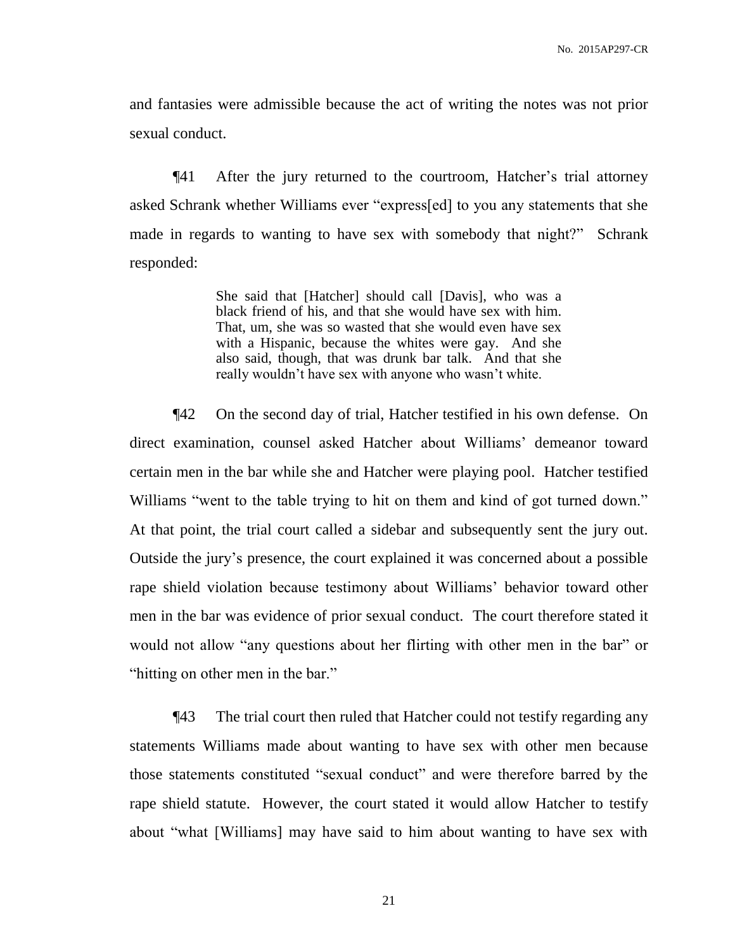and fantasies were admissible because the act of writing the notes was not prior sexual conduct.

¶41 After the jury returned to the courtroom, Hatcher's trial attorney asked Schrank whether Williams ever "express[ed] to you any statements that she made in regards to wanting to have sex with somebody that night?" Schrank responded:

> She said that [Hatcher] should call [Davis], who was a black friend of his, and that she would have sex with him. That, um, she was so wasted that she would even have sex with a Hispanic, because the whites were gay. And she also said, though, that was drunk bar talk. And that she really wouldn't have sex with anyone who wasn't white.

¶42 On the second day of trial, Hatcher testified in his own defense. On direct examination, counsel asked Hatcher about Williams' demeanor toward certain men in the bar while she and Hatcher were playing pool. Hatcher testified Williams "went to the table trying to hit on them and kind of got turned down." At that point, the trial court called a sidebar and subsequently sent the jury out. Outside the jury's presence, the court explained it was concerned about a possible rape shield violation because testimony about Williams' behavior toward other men in the bar was evidence of prior sexual conduct. The court therefore stated it would not allow "any questions about her flirting with other men in the bar" or "hitting on other men in the bar."

¶43 The trial court then ruled that Hatcher could not testify regarding any statements Williams made about wanting to have sex with other men because those statements constituted "sexual conduct" and were therefore barred by the rape shield statute. However, the court stated it would allow Hatcher to testify about "what [Williams] may have said to him about wanting to have sex with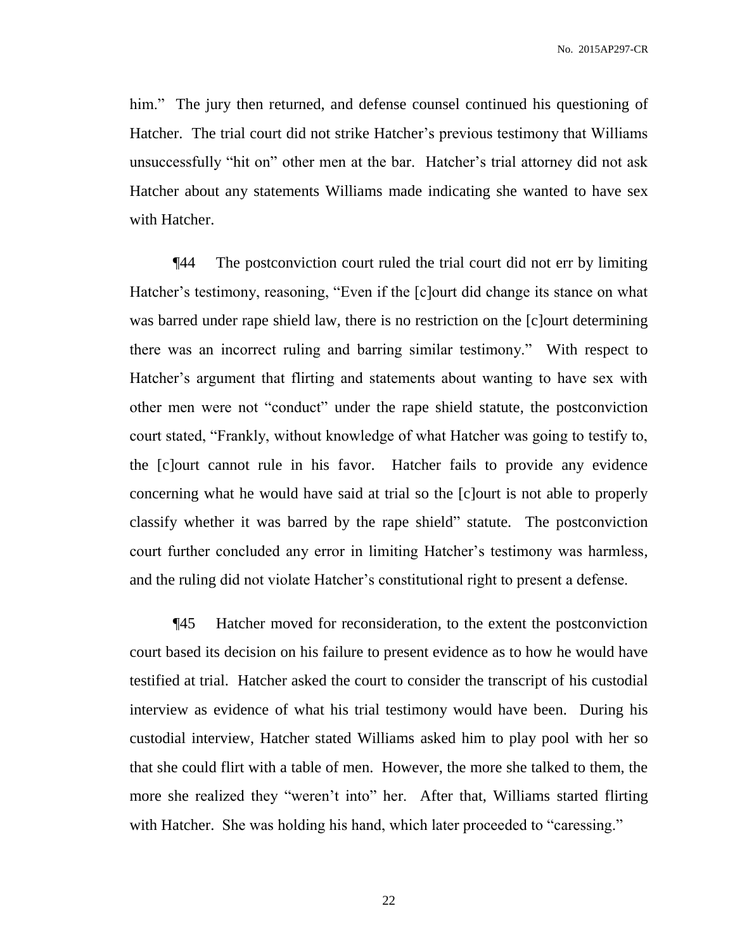him." The jury then returned, and defense counsel continued his questioning of Hatcher. The trial court did not strike Hatcher's previous testimony that Williams unsuccessfully "hit on" other men at the bar. Hatcher's trial attorney did not ask Hatcher about any statements Williams made indicating she wanted to have sex with Hatcher.

¶44 The postconviction court ruled the trial court did not err by limiting Hatcher's testimony, reasoning, "Even if the [c]ourt did change its stance on what was barred under rape shield law, there is no restriction on the [c]ourt determining there was an incorrect ruling and barring similar testimony." With respect to Hatcher's argument that flirting and statements about wanting to have sex with other men were not "conduct" under the rape shield statute, the postconviction court stated, "Frankly, without knowledge of what Hatcher was going to testify to, the [c]ourt cannot rule in his favor. Hatcher fails to provide any evidence concerning what he would have said at trial so the [c]ourt is not able to properly classify whether it was barred by the rape shield" statute. The postconviction court further concluded any error in limiting Hatcher's testimony was harmless, and the ruling did not violate Hatcher's constitutional right to present a defense.

¶45 Hatcher moved for reconsideration, to the extent the postconviction court based its decision on his failure to present evidence as to how he would have testified at trial. Hatcher asked the court to consider the transcript of his custodial interview as evidence of what his trial testimony would have been. During his custodial interview, Hatcher stated Williams asked him to play pool with her so that she could flirt with a table of men. However, the more she talked to them, the more she realized they "weren't into" her. After that, Williams started flirting with Hatcher. She was holding his hand, which later proceeded to "caressing."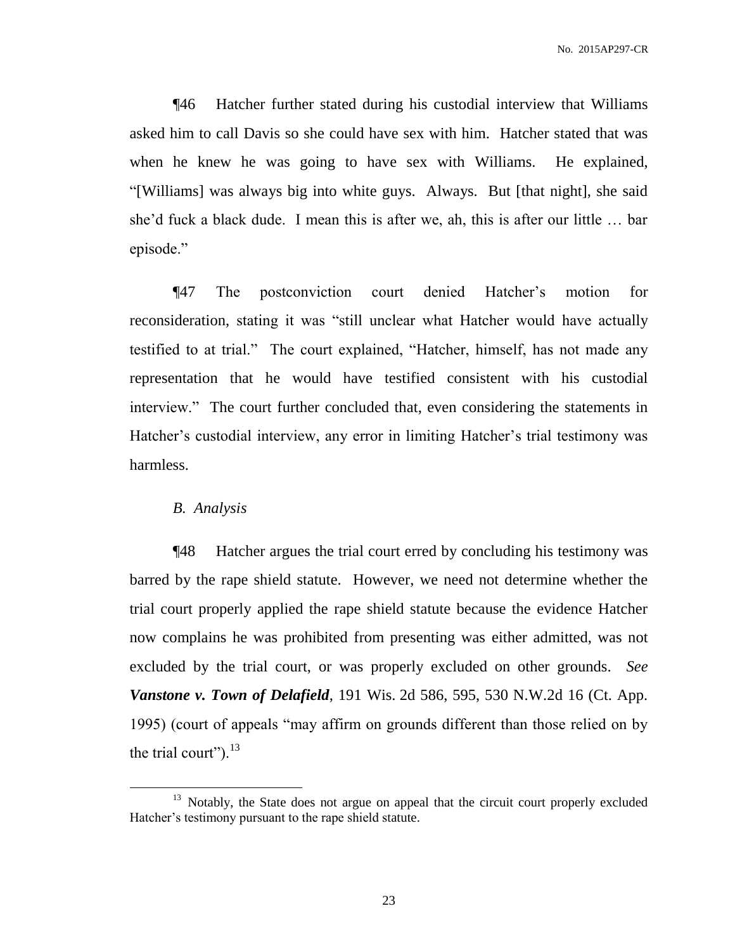No. 2015AP297-CR

¶46 Hatcher further stated during his custodial interview that Williams asked him to call Davis so she could have sex with him. Hatcher stated that was when he knew he was going to have sex with Williams. He explained, "[Williams] was always big into white guys. Always. But [that night], she said she'd fuck a black dude. I mean this is after we, ah, this is after our little … bar episode."

¶47 The postconviction court denied Hatcher's motion for reconsideration, stating it was "still unclear what Hatcher would have actually testified to at trial." The court explained, "Hatcher, himself, has not made any representation that he would have testified consistent with his custodial interview." The court further concluded that, even considering the statements in Hatcher's custodial interview, any error in limiting Hatcher's trial testimony was harmless.

# *B. Analysis*

 $\overline{a}$ 

¶48 Hatcher argues the trial court erred by concluding his testimony was barred by the rape shield statute. However, we need not determine whether the trial court properly applied the rape shield statute because the evidence Hatcher now complains he was prohibited from presenting was either admitted, was not excluded by the trial court, or was properly excluded on other grounds. *See Vanstone v. Town of Delafield*, 191 Wis. 2d 586, 595, 530 N.W.2d 16 (Ct. App. 1995) (court of appeals "may affirm on grounds different than those relied on by the trial court"). $^{13}$ 

<sup>&</sup>lt;sup>13</sup> Notably, the State does not argue on appeal that the circuit court properly excluded Hatcher's testimony pursuant to the rape shield statute.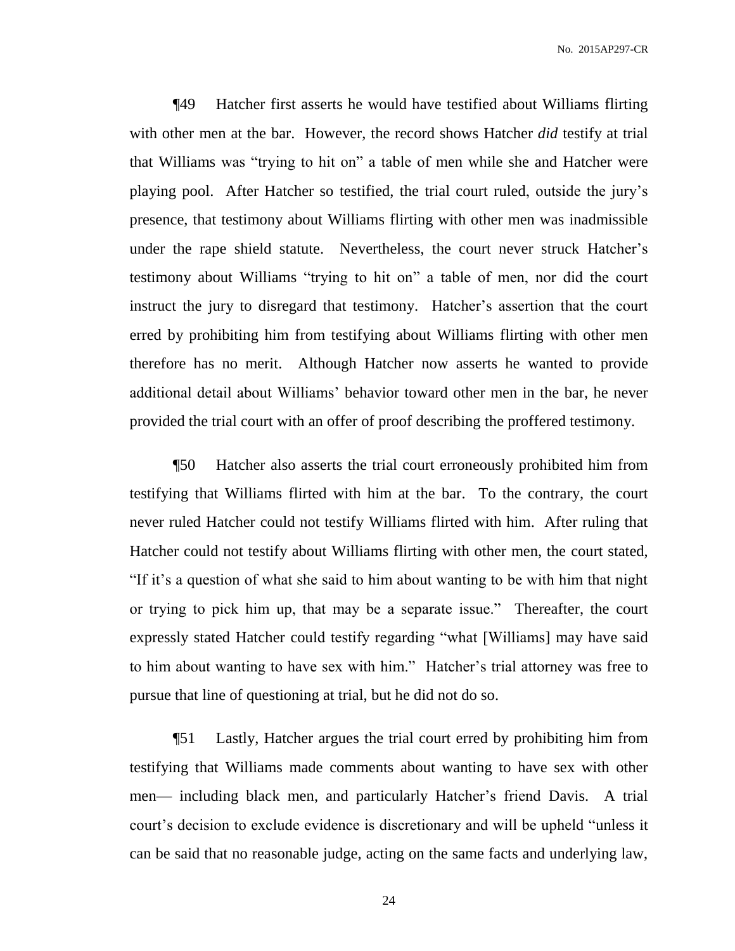¶49 Hatcher first asserts he would have testified about Williams flirting with other men at the bar. However, the record shows Hatcher *did* testify at trial that Williams was "trying to hit on" a table of men while she and Hatcher were playing pool. After Hatcher so testified, the trial court ruled, outside the jury's presence, that testimony about Williams flirting with other men was inadmissible under the rape shield statute. Nevertheless, the court never struck Hatcher's testimony about Williams "trying to hit on" a table of men, nor did the court instruct the jury to disregard that testimony. Hatcher's assertion that the court erred by prohibiting him from testifying about Williams flirting with other men therefore has no merit. Although Hatcher now asserts he wanted to provide additional detail about Williams' behavior toward other men in the bar, he never provided the trial court with an offer of proof describing the proffered testimony.

¶50 Hatcher also asserts the trial court erroneously prohibited him from testifying that Williams flirted with him at the bar. To the contrary, the court never ruled Hatcher could not testify Williams flirted with him. After ruling that Hatcher could not testify about Williams flirting with other men, the court stated, "If it's a question of what she said to him about wanting to be with him that night or trying to pick him up, that may be a separate issue." Thereafter, the court expressly stated Hatcher could testify regarding "what [Williams] may have said to him about wanting to have sex with him." Hatcher's trial attorney was free to pursue that line of questioning at trial, but he did not do so.

¶51 Lastly, Hatcher argues the trial court erred by prohibiting him from testifying that Williams made comments about wanting to have sex with other men— including black men, and particularly Hatcher's friend Davis. A trial court's decision to exclude evidence is discretionary and will be upheld "unless it can be said that no reasonable judge, acting on the same facts and underlying law,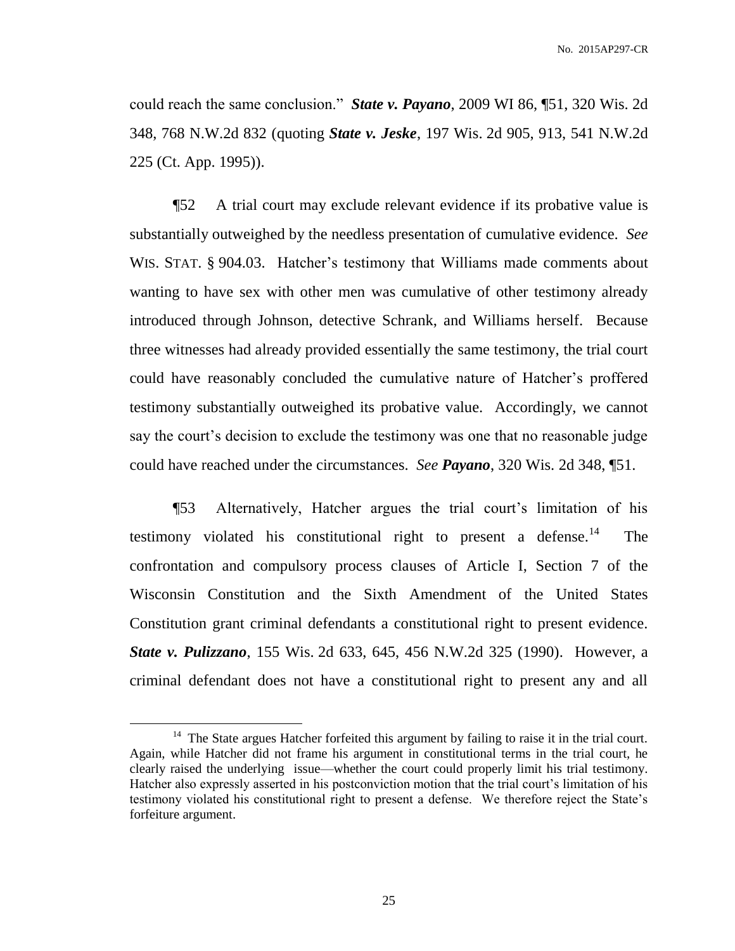could reach the same conclusion." *State v. Payano*, 2009 WI 86, ¶51, 320 Wis. 2d 348, 768 N.W.2d 832 (quoting *State v. Jeske*, 197 Wis. 2d 905, 913, 541 N.W.2d 225 (Ct. App. 1995)).

¶52 A trial court may exclude relevant evidence if its probative value is substantially outweighed by the needless presentation of cumulative evidence. *See* WIS. STAT. § 904.03. Hatcher's testimony that Williams made comments about wanting to have sex with other men was cumulative of other testimony already introduced through Johnson, detective Schrank, and Williams herself. Because three witnesses had already provided essentially the same testimony, the trial court could have reasonably concluded the cumulative nature of Hatcher's proffered testimony substantially outweighed its probative value. Accordingly, we cannot say the court's decision to exclude the testimony was one that no reasonable judge could have reached under the circumstances. *See Payano*, 320 Wis. 2d 348, ¶51.

¶53 Alternatively, Hatcher argues the trial court's limitation of his testimony violated his constitutional right to present a defense.<sup>14</sup> The confrontation and compulsory process clauses of Article I, Section 7 of the Wisconsin Constitution and the Sixth Amendment of the United States Constitution grant criminal defendants a constitutional right to present evidence. *State v. Pulizzano*, 155 Wis. 2d 633, 645, 456 N.W.2d 325 (1990). However, a criminal defendant does not have a constitutional right to present any and all

<sup>&</sup>lt;sup>14</sup> The State argues Hatcher forfeited this argument by failing to raise it in the trial court. Again, while Hatcher did not frame his argument in constitutional terms in the trial court, he clearly raised the underlying issue—whether the court could properly limit his trial testimony. Hatcher also expressly asserted in his postconviction motion that the trial court's limitation of his testimony violated his constitutional right to present a defense. We therefore reject the State's forfeiture argument.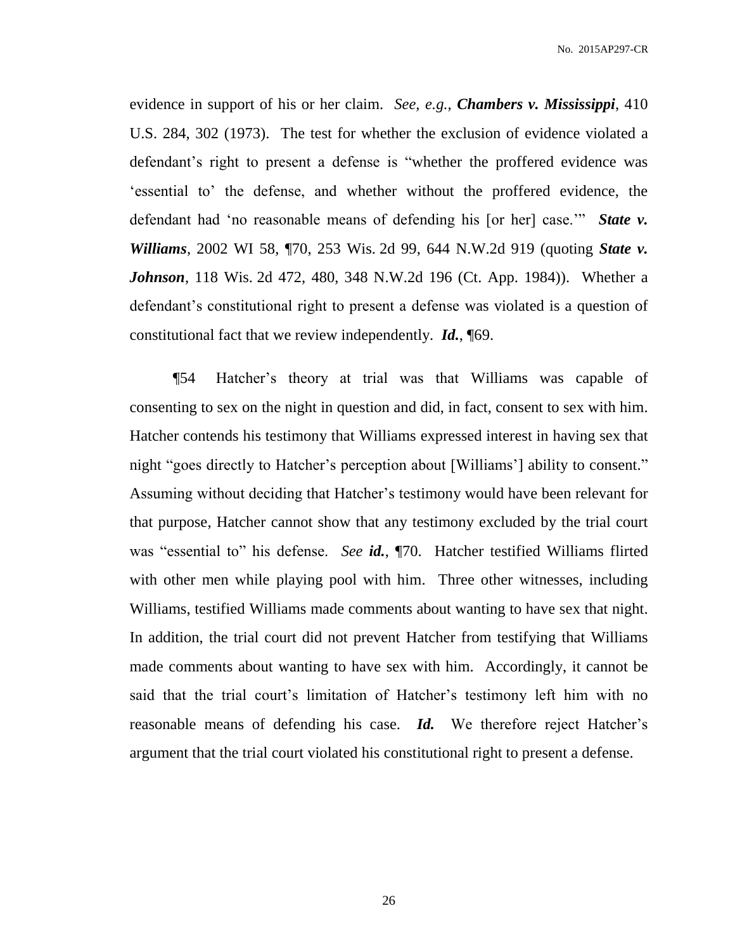No. 2015AP297-CR

evidence in support of his or her claim. *See, e.g.*, *Chambers v. Mississippi*, 410 U.S. 284, 302 (1973). The test for whether the exclusion of evidence violated a defendant's right to present a defense is "whether the proffered evidence was 'essential to' the defense, and whether without the proffered evidence, the defendant had 'no reasonable means of defending his [or her] case.'" *State v. Williams*, 2002 WI 58, ¶70, 253 Wis. 2d 99, 644 N.W.2d 919 (quoting *State v. Johnson*, 118 Wis. 2d 472, 480, 348 N.W.2d 196 (Ct. App. 1984)). Whether a defendant's constitutional right to present a defense was violated is a question of constitutional fact that we review independently. *Id.*, ¶69.

¶54 Hatcher's theory at trial was that Williams was capable of consenting to sex on the night in question and did, in fact, consent to sex with him. Hatcher contends his testimony that Williams expressed interest in having sex that night "goes directly to Hatcher's perception about [Williams'] ability to consent." Assuming without deciding that Hatcher's testimony would have been relevant for that purpose, Hatcher cannot show that any testimony excluded by the trial court was "essential to" his defense. *See id.*, ¶70. Hatcher testified Williams flirted with other men while playing pool with him. Three other witnesses, including Williams, testified Williams made comments about wanting to have sex that night. In addition, the trial court did not prevent Hatcher from testifying that Williams made comments about wanting to have sex with him. Accordingly, it cannot be said that the trial court's limitation of Hatcher's testimony left him with no reasonable means of defending his case. *Id.* We therefore reject Hatcher's argument that the trial court violated his constitutional right to present a defense.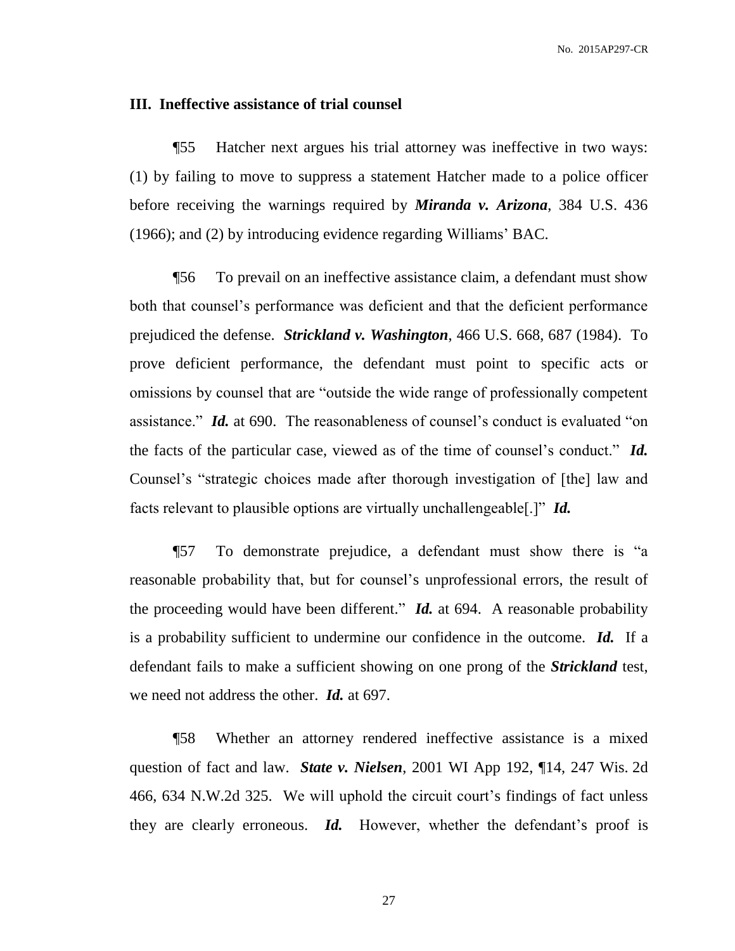No. 2015AP297-CR

#### **III. Ineffective assistance of trial counsel**

¶55 Hatcher next argues his trial attorney was ineffective in two ways: (1) by failing to move to suppress a statement Hatcher made to a police officer before receiving the warnings required by *Miranda v. Arizona*, 384 U.S. 436 (1966); and (2) by introducing evidence regarding Williams' BAC.

¶56 To prevail on an ineffective assistance claim, a defendant must show both that counsel's performance was deficient and that the deficient performance prejudiced the defense. *Strickland v. Washington*, 466 U.S. 668, 687 (1984). To prove deficient performance, the defendant must point to specific acts or omissions by counsel that are "outside the wide range of professionally competent assistance." *Id.* at 690. The reasonableness of counsel's conduct is evaluated "on the facts of the particular case, viewed as of the time of counsel's conduct." *Id.* Counsel's "strategic choices made after thorough investigation of [the] law and facts relevant to plausible options are virtually unchallengeable[.]" *Id.*

¶57 To demonstrate prejudice, a defendant must show there is "a reasonable probability that, but for counsel's unprofessional errors, the result of the proceeding would have been different." *Id.* at 694. A reasonable probability is a probability sufficient to undermine our confidence in the outcome. *Id.* If a defendant fails to make a sufficient showing on one prong of the *Strickland* test, we need not address the other. *Id.* at 697.

¶58 Whether an attorney rendered ineffective assistance is a mixed question of fact and law. *State v. Nielsen*, 2001 WI App 192, ¶14, 247 Wis. 2d 466, 634 N.W.2d 325. We will uphold the circuit court's findings of fact unless they are clearly erroneous. *Id.* However, whether the defendant's proof is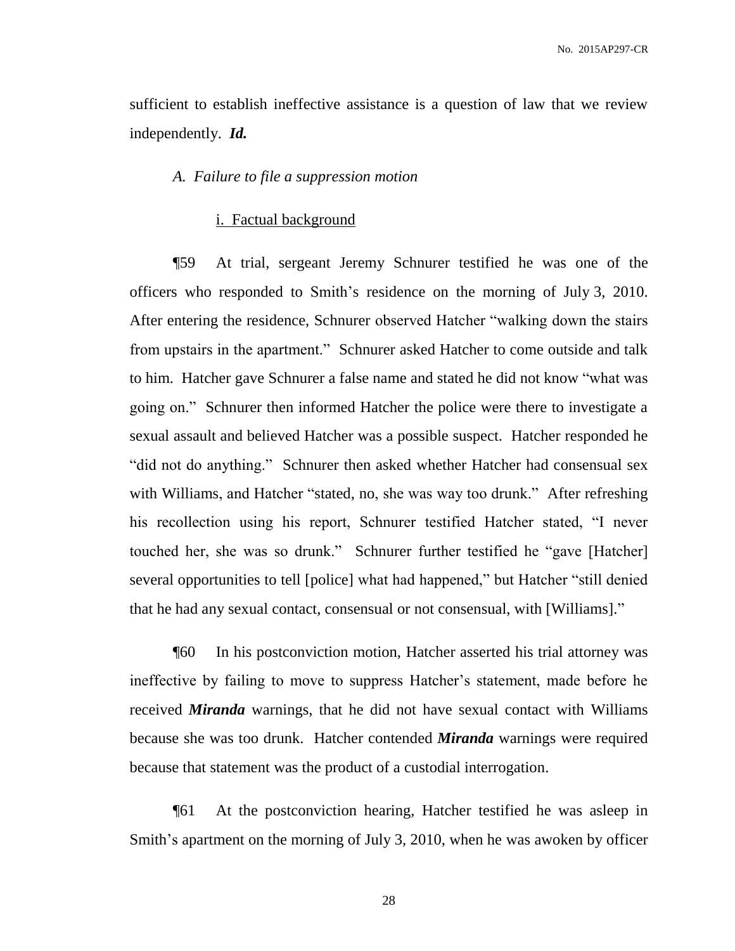sufficient to establish ineffective assistance is a question of law that we review independently. *Id.*

#### *A. Failure to file a suppression motion*

# i. Factual background

¶59 At trial, sergeant Jeremy Schnurer testified he was one of the officers who responded to Smith's residence on the morning of July 3, 2010. After entering the residence, Schnurer observed Hatcher "walking down the stairs from upstairs in the apartment." Schnurer asked Hatcher to come outside and talk to him. Hatcher gave Schnurer a false name and stated he did not know "what was going on." Schnurer then informed Hatcher the police were there to investigate a sexual assault and believed Hatcher was a possible suspect. Hatcher responded he "did not do anything." Schnurer then asked whether Hatcher had consensual sex with Williams, and Hatcher "stated, no, she was way too drunk." After refreshing his recollection using his report, Schnurer testified Hatcher stated, "I never touched her, she was so drunk." Schnurer further testified he "gave [Hatcher] several opportunities to tell [police] what had happened," but Hatcher "still denied that he had any sexual contact, consensual or not consensual, with [Williams]."

¶60 In his postconviction motion, Hatcher asserted his trial attorney was ineffective by failing to move to suppress Hatcher's statement, made before he received *Miranda* warnings, that he did not have sexual contact with Williams because she was too drunk. Hatcher contended *Miranda* warnings were required because that statement was the product of a custodial interrogation.

¶61 At the postconviction hearing, Hatcher testified he was asleep in Smith's apartment on the morning of July 3, 2010, when he was awoken by officer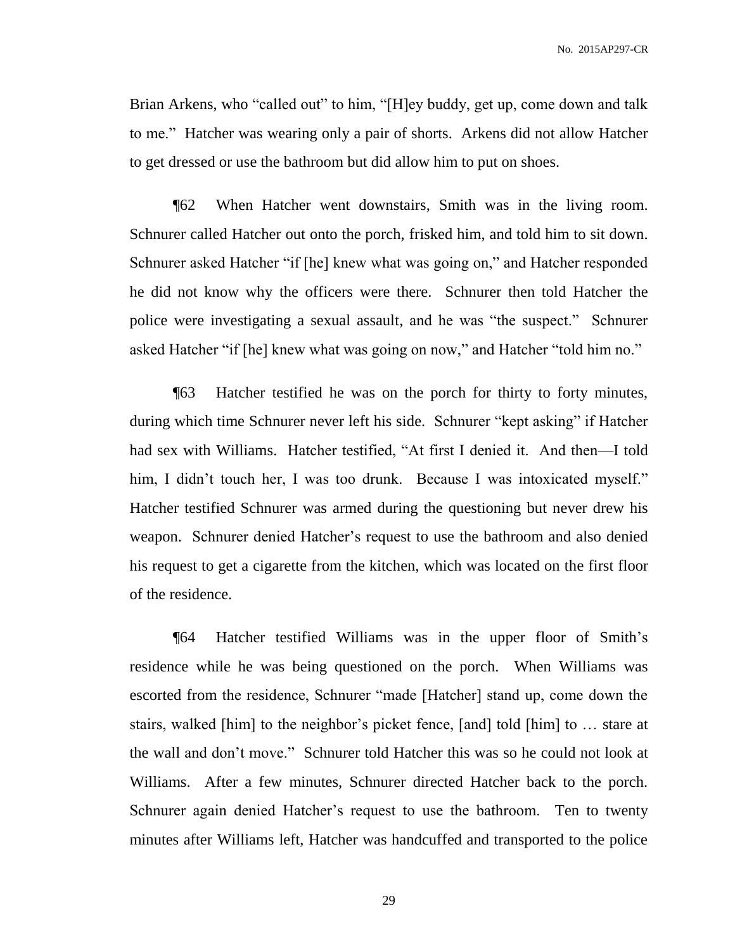Brian Arkens, who "called out" to him, "[H]ey buddy, get up, come down and talk to me." Hatcher was wearing only a pair of shorts. Arkens did not allow Hatcher to get dressed or use the bathroom but did allow him to put on shoes.

¶62 When Hatcher went downstairs, Smith was in the living room. Schnurer called Hatcher out onto the porch, frisked him, and told him to sit down. Schnurer asked Hatcher "if [he] knew what was going on," and Hatcher responded he did not know why the officers were there. Schnurer then told Hatcher the police were investigating a sexual assault, and he was "the suspect." Schnurer asked Hatcher "if [he] knew what was going on now," and Hatcher "told him no."

¶63 Hatcher testified he was on the porch for thirty to forty minutes, during which time Schnurer never left his side. Schnurer "kept asking" if Hatcher had sex with Williams. Hatcher testified, "At first I denied it. And then—I told him, I didn't touch her, I was too drunk. Because I was intoxicated myself." Hatcher testified Schnurer was armed during the questioning but never drew his weapon. Schnurer denied Hatcher's request to use the bathroom and also denied his request to get a cigarette from the kitchen, which was located on the first floor of the residence.

¶64 Hatcher testified Williams was in the upper floor of Smith's residence while he was being questioned on the porch. When Williams was escorted from the residence, Schnurer "made [Hatcher] stand up, come down the stairs, walked [him] to the neighbor's picket fence, [and] told [him] to … stare at the wall and don't move." Schnurer told Hatcher this was so he could not look at Williams. After a few minutes, Schnurer directed Hatcher back to the porch. Schnurer again denied Hatcher's request to use the bathroom. Ten to twenty minutes after Williams left, Hatcher was handcuffed and transported to the police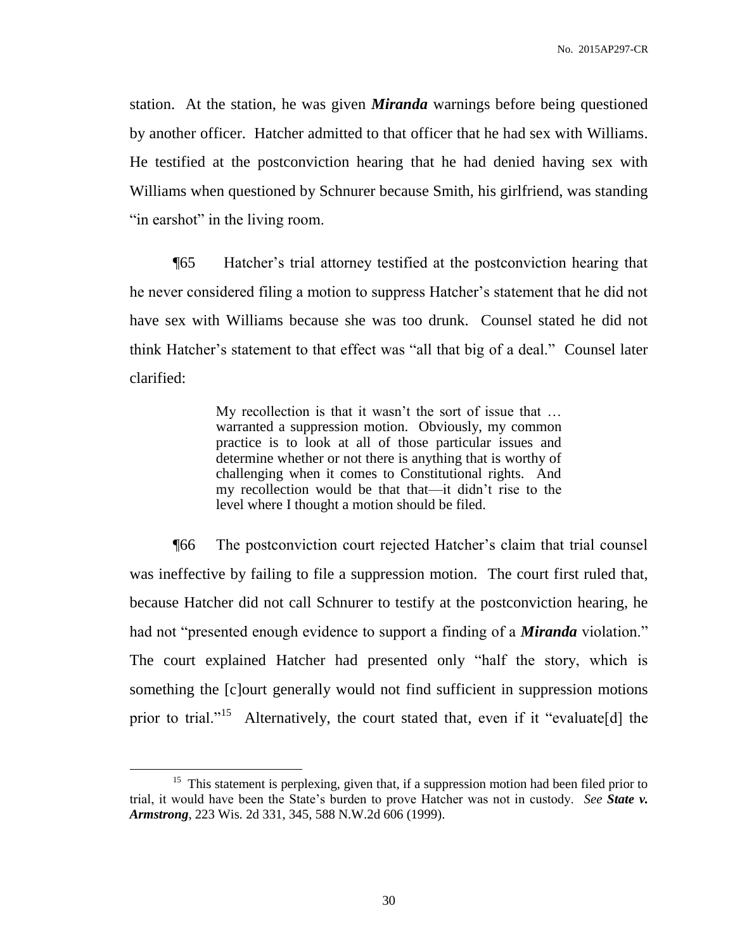station. At the station, he was given *Miranda* warnings before being questioned by another officer. Hatcher admitted to that officer that he had sex with Williams. He testified at the postconviction hearing that he had denied having sex with Williams when questioned by Schnurer because Smith, his girlfriend, was standing "in earshot" in the living room.

¶65 Hatcher's trial attorney testified at the postconviction hearing that he never considered filing a motion to suppress Hatcher's statement that he did not have sex with Williams because she was too drunk. Counsel stated he did not think Hatcher's statement to that effect was "all that big of a deal." Counsel later clarified:

> My recollection is that it wasn't the sort of issue that … warranted a suppression motion. Obviously, my common practice is to look at all of those particular issues and determine whether or not there is anything that is worthy of challenging when it comes to Constitutional rights. And my recollection would be that that—it didn't rise to the level where I thought a motion should be filed.

¶66 The postconviction court rejected Hatcher's claim that trial counsel was ineffective by failing to file a suppression motion. The court first ruled that, because Hatcher did not call Schnurer to testify at the postconviction hearing, he had not "presented enough evidence to support a finding of a *Miranda* violation." The court explained Hatcher had presented only "half the story, which is something the [c]ourt generally would not find sufficient in suppression motions prior to trial."<sup>15</sup> Alternatively, the court stated that, even if it "evaluate[d] the

 $15$  This statement is perplexing, given that, if a suppression motion had been filed prior to trial, it would have been the State's burden to prove Hatcher was not in custody. *See State v. Armstrong*, 223 Wis. 2d 331, 345, 588 N.W.2d 606 (1999).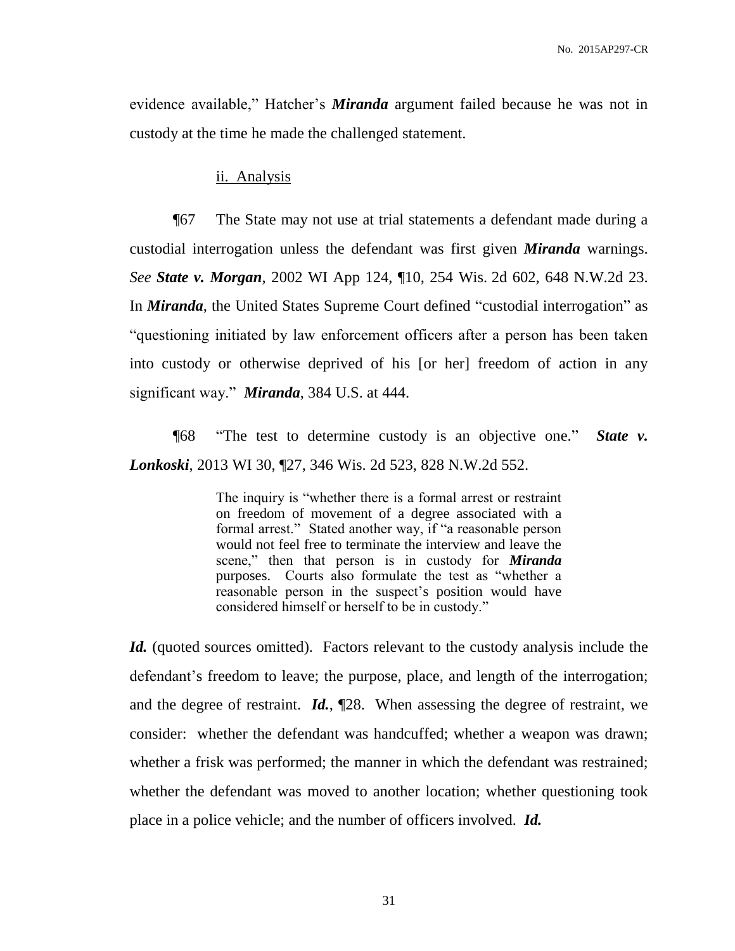evidence available," Hatcher's *Miranda* argument failed because he was not in custody at the time he made the challenged statement.

#### ii. Analysis

¶67 The State may not use at trial statements a defendant made during a custodial interrogation unless the defendant was first given *Miranda* warnings. *See State v. Morgan*, 2002 WI App 124, ¶10, 254 Wis. 2d 602, 648 N.W.2d 23. In *Miranda*, the United States Supreme Court defined "custodial interrogation" as "questioning initiated by law enforcement officers after a person has been taken into custody or otherwise deprived of his [or her] freedom of action in any significant way." *Miranda*, 384 U.S. at 444.

¶68 "The test to determine custody is an objective one." *State v. Lonkoski*, 2013 WI 30, ¶27, 346 Wis. 2d 523, 828 N.W.2d 552.

> The inquiry is "whether there is a formal arrest or restraint on freedom of movement of a degree associated with a formal arrest." Stated another way, if "a reasonable person would not feel free to terminate the interview and leave the scene," then that person is in custody for *Miranda* purposes. Courts also formulate the test as "whether a reasonable person in the suspect's position would have considered himself or herself to be in custody."

*Id.* (quoted sources omitted). Factors relevant to the custody analysis include the defendant's freedom to leave; the purpose, place, and length of the interrogation; and the degree of restraint. *Id.*, ¶28. When assessing the degree of restraint, we consider: whether the defendant was handcuffed; whether a weapon was drawn; whether a frisk was performed; the manner in which the defendant was restrained; whether the defendant was moved to another location; whether questioning took place in a police vehicle; and the number of officers involved. *Id.*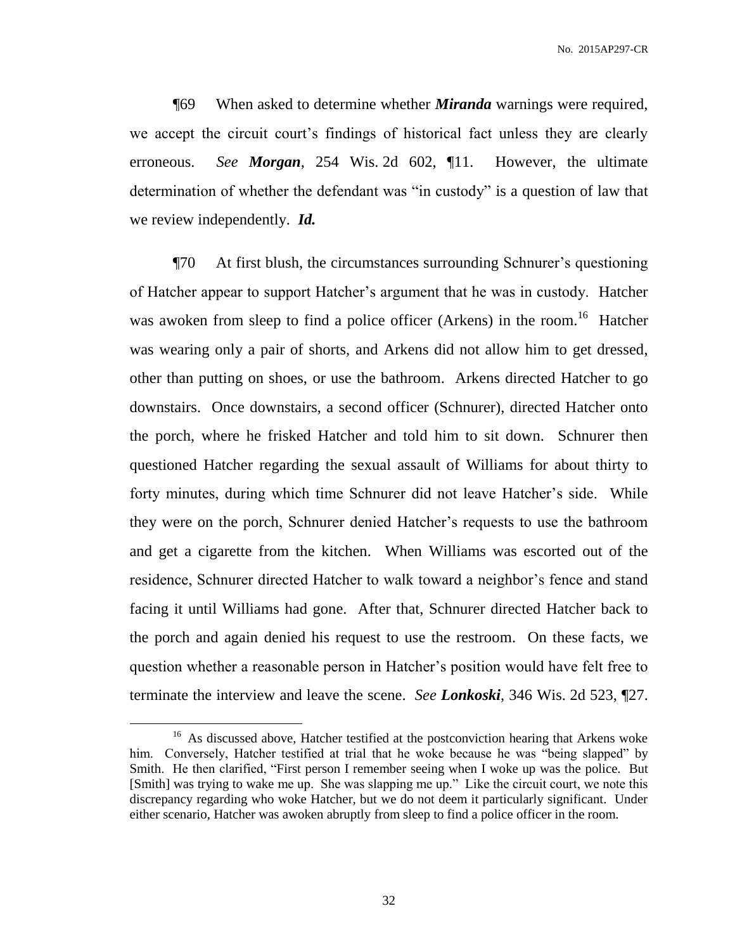No. 2015AP297-CR

¶69 When asked to determine whether *Miranda* warnings were required, we accept the circuit court's findings of historical fact unless they are clearly erroneous. *See Morgan*, 254 Wis. 2d 602, ¶11. However, the ultimate determination of whether the defendant was "in custody" is a question of law that we review independently. *Id.*

¶70 At first blush, the circumstances surrounding Schnurer's questioning of Hatcher appear to support Hatcher's argument that he was in custody. Hatcher was awoken from sleep to find a police officer (Arkens) in the room.<sup>16</sup> Hatcher was wearing only a pair of shorts, and Arkens did not allow him to get dressed, other than putting on shoes, or use the bathroom. Arkens directed Hatcher to go downstairs. Once downstairs, a second officer (Schnurer), directed Hatcher onto the porch, where he frisked Hatcher and told him to sit down. Schnurer then questioned Hatcher regarding the sexual assault of Williams for about thirty to forty minutes, during which time Schnurer did not leave Hatcher's side. While they were on the porch, Schnurer denied Hatcher's requests to use the bathroom and get a cigarette from the kitchen. When Williams was escorted out of the residence, Schnurer directed Hatcher to walk toward a neighbor's fence and stand facing it until Williams had gone. After that, Schnurer directed Hatcher back to the porch and again denied his request to use the restroom. On these facts, we question whether a reasonable person in Hatcher's position would have felt free to terminate the interview and leave the scene. *See Lonkoski*, 346 Wis. 2d 523, ¶27.

 $\overline{a}$ 

<sup>&</sup>lt;sup>16</sup> As discussed above, Hatcher testified at the postconviction hearing that Arkens woke him. Conversely, Hatcher testified at trial that he woke because he was "being slapped" by Smith. He then clarified, "First person I remember seeing when I woke up was the police. But [Smith] was trying to wake me up. She was slapping me up." Like the circuit court, we note this discrepancy regarding who woke Hatcher, but we do not deem it particularly significant. Under either scenario, Hatcher was awoken abruptly from sleep to find a police officer in the room.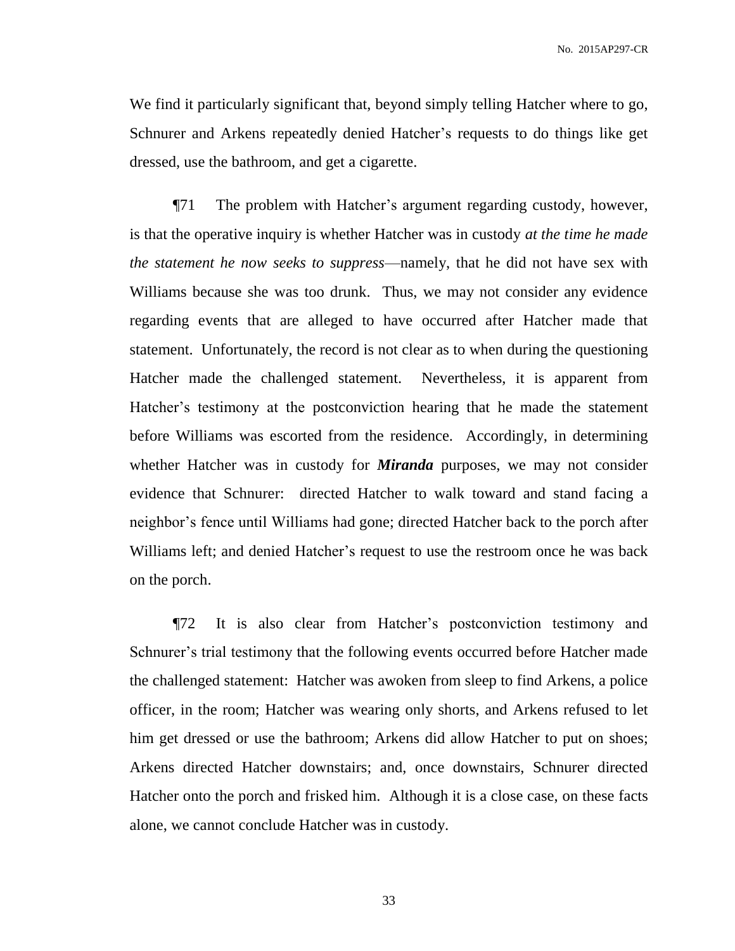We find it particularly significant that, beyond simply telling Hatcher where to go, Schnurer and Arkens repeatedly denied Hatcher's requests to do things like get dressed, use the bathroom, and get a cigarette.

¶71 The problem with Hatcher's argument regarding custody, however, is that the operative inquiry is whether Hatcher was in custody *at the time he made the statement he now seeks to suppress*—namely, that he did not have sex with Williams because she was too drunk. Thus, we may not consider any evidence regarding events that are alleged to have occurred after Hatcher made that statement. Unfortunately, the record is not clear as to when during the questioning Hatcher made the challenged statement. Nevertheless, it is apparent from Hatcher's testimony at the postconviction hearing that he made the statement before Williams was escorted from the residence. Accordingly, in determining whether Hatcher was in custody for *Miranda* purposes, we may not consider evidence that Schnurer: directed Hatcher to walk toward and stand facing a neighbor's fence until Williams had gone; directed Hatcher back to the porch after Williams left; and denied Hatcher's request to use the restroom once he was back on the porch.

¶72 It is also clear from Hatcher's postconviction testimony and Schnurer's trial testimony that the following events occurred before Hatcher made the challenged statement: Hatcher was awoken from sleep to find Arkens, a police officer, in the room; Hatcher was wearing only shorts, and Arkens refused to let him get dressed or use the bathroom; Arkens did allow Hatcher to put on shoes; Arkens directed Hatcher downstairs; and, once downstairs, Schnurer directed Hatcher onto the porch and frisked him. Although it is a close case, on these facts alone, we cannot conclude Hatcher was in custody.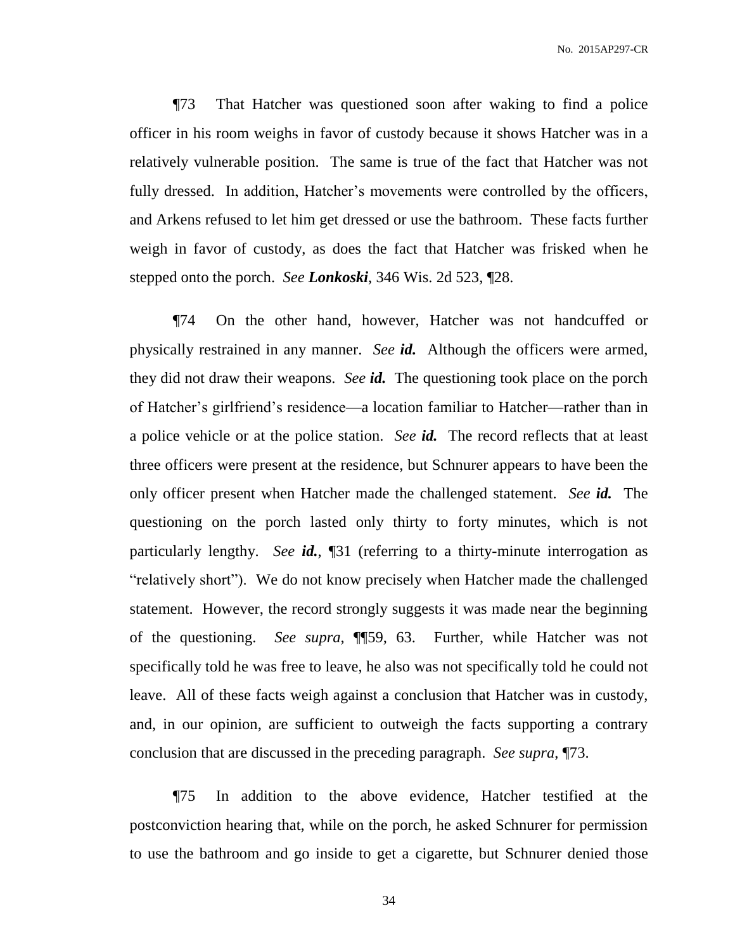No. 2015AP297-CR

¶73 That Hatcher was questioned soon after waking to find a police officer in his room weighs in favor of custody because it shows Hatcher was in a relatively vulnerable position. The same is true of the fact that Hatcher was not fully dressed. In addition, Hatcher's movements were controlled by the officers, and Arkens refused to let him get dressed or use the bathroom. These facts further weigh in favor of custody, as does the fact that Hatcher was frisked when he stepped onto the porch. *See Lonkoski*, 346 Wis. 2d 523, ¶28.

¶74 On the other hand, however, Hatcher was not handcuffed or physically restrained in any manner. *See id.* Although the officers were armed, they did not draw their weapons. *See id.* The questioning took place on the porch of Hatcher's girlfriend's residence—a location familiar to Hatcher—rather than in a police vehicle or at the police station. *See id.* The record reflects that at least three officers were present at the residence, but Schnurer appears to have been the only officer present when Hatcher made the challenged statement. *See id.* The questioning on the porch lasted only thirty to forty minutes, which is not particularly lengthy. *See id.*, ¶31 (referring to a thirty-minute interrogation as "relatively short"). We do not know precisely when Hatcher made the challenged statement. However, the record strongly suggests it was made near the beginning of the questioning. *See supra*, ¶¶59, 63. Further, while Hatcher was not specifically told he was free to leave, he also was not specifically told he could not leave. All of these facts weigh against a conclusion that Hatcher was in custody, and, in our opinion, are sufficient to outweigh the facts supporting a contrary conclusion that are discussed in the preceding paragraph. *See supra*, ¶73.

¶75 In addition to the above evidence, Hatcher testified at the postconviction hearing that, while on the porch, he asked Schnurer for permission to use the bathroom and go inside to get a cigarette, but Schnurer denied those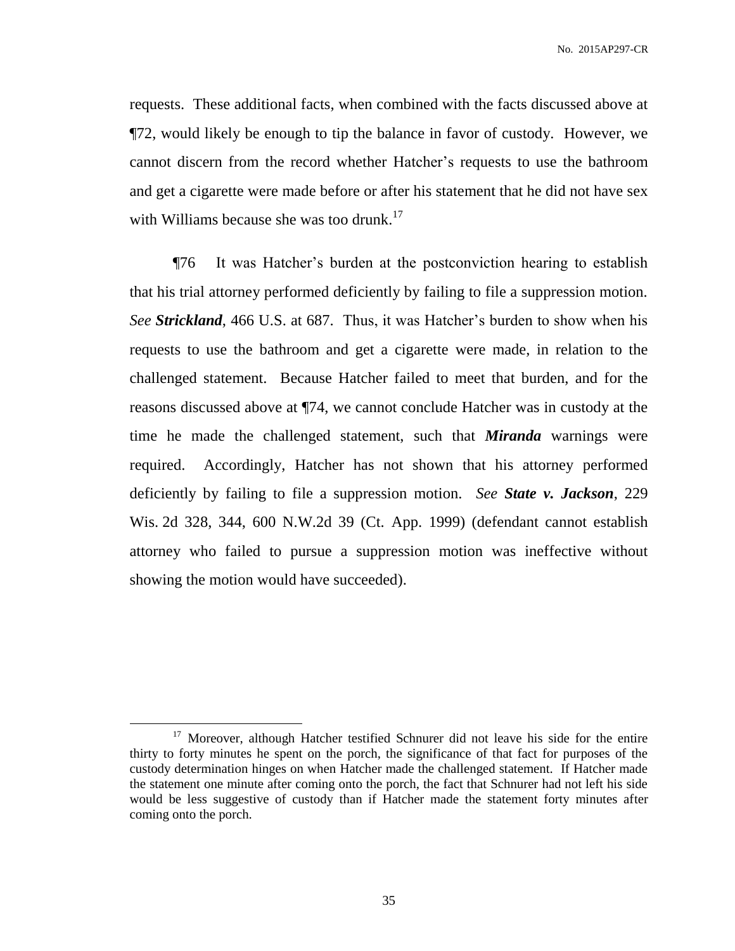requests. These additional facts, when combined with the facts discussed above at ¶72, would likely be enough to tip the balance in favor of custody. However, we cannot discern from the record whether Hatcher's requests to use the bathroom and get a cigarette were made before or after his statement that he did not have sex with Williams because she was too drunk.<sup>17</sup>

¶76 It was Hatcher's burden at the postconviction hearing to establish that his trial attorney performed deficiently by failing to file a suppression motion. *See Strickland*, 466 U.S. at 687. Thus, it was Hatcher's burden to show when his requests to use the bathroom and get a cigarette were made, in relation to the challenged statement. Because Hatcher failed to meet that burden, and for the reasons discussed above at ¶74, we cannot conclude Hatcher was in custody at the time he made the challenged statement, such that *Miranda* warnings were required. Accordingly, Hatcher has not shown that his attorney performed deficiently by failing to file a suppression motion. *See State v. Jackson*, 229 Wis. 2d 328, 344, 600 N.W.2d 39 (Ct. App. 1999) (defendant cannot establish attorney who failed to pursue a suppression motion was ineffective without showing the motion would have succeeded).

<sup>&</sup>lt;sup>17</sup> Moreover, although Hatcher testified Schnurer did not leave his side for the entire thirty to forty minutes he spent on the porch, the significance of that fact for purposes of the custody determination hinges on when Hatcher made the challenged statement. If Hatcher made the statement one minute after coming onto the porch, the fact that Schnurer had not left his side would be less suggestive of custody than if Hatcher made the statement forty minutes after coming onto the porch.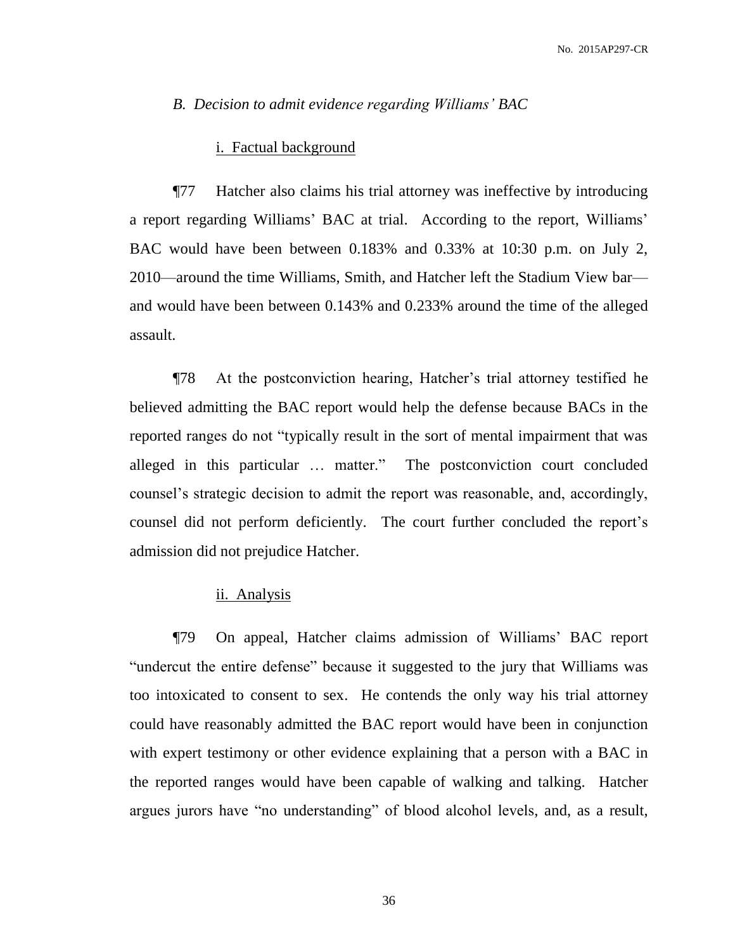### *B. Decision to admit evidence regarding Williams' BAC*

# i. Factual background

¶77 Hatcher also claims his trial attorney was ineffective by introducing a report regarding Williams' BAC at trial. According to the report, Williams' BAC would have been between 0.183% and 0.33% at 10:30 p.m. on July 2, 2010—around the time Williams, Smith, and Hatcher left the Stadium View bar and would have been between 0.143% and 0.233% around the time of the alleged assault.

¶78 At the postconviction hearing, Hatcher's trial attorney testified he believed admitting the BAC report would help the defense because BACs in the reported ranges do not "typically result in the sort of mental impairment that was alleged in this particular … matter." The postconviction court concluded counsel's strategic decision to admit the report was reasonable, and, accordingly, counsel did not perform deficiently. The court further concluded the report's admission did not prejudice Hatcher.

## ii. Analysis

¶79 On appeal, Hatcher claims admission of Williams' BAC report "undercut the entire defense" because it suggested to the jury that Williams was too intoxicated to consent to sex. He contends the only way his trial attorney could have reasonably admitted the BAC report would have been in conjunction with expert testimony or other evidence explaining that a person with a BAC in the reported ranges would have been capable of walking and talking. Hatcher argues jurors have "no understanding" of blood alcohol levels, and, as a result,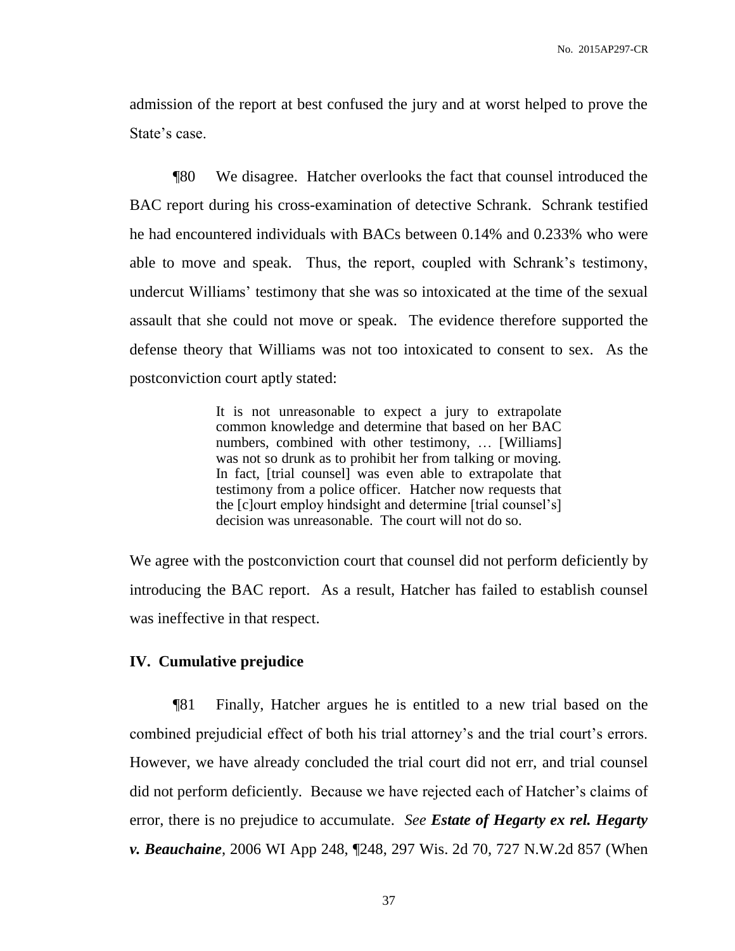admission of the report at best confused the jury and at worst helped to prove the State's case.

¶80 We disagree. Hatcher overlooks the fact that counsel introduced the BAC report during his cross-examination of detective Schrank. Schrank testified he had encountered individuals with BACs between 0.14% and 0.233% who were able to move and speak. Thus, the report, coupled with Schrank's testimony, undercut Williams' testimony that she was so intoxicated at the time of the sexual assault that she could not move or speak. The evidence therefore supported the defense theory that Williams was not too intoxicated to consent to sex. As the postconviction court aptly stated:

> It is not unreasonable to expect a jury to extrapolate common knowledge and determine that based on her BAC numbers, combined with other testimony, … [Williams] was not so drunk as to prohibit her from talking or moving. In fact, [trial counsel] was even able to extrapolate that testimony from a police officer. Hatcher now requests that the [c]ourt employ hindsight and determine [trial counsel's] decision was unreasonable. The court will not do so.

We agree with the postconviction court that counsel did not perform deficiently by introducing the BAC report. As a result, Hatcher has failed to establish counsel was ineffective in that respect.

# **IV. Cumulative prejudice**

¶81 Finally, Hatcher argues he is entitled to a new trial based on the combined prejudicial effect of both his trial attorney's and the trial court's errors. However, we have already concluded the trial court did not err, and trial counsel did not perform deficiently. Because we have rejected each of Hatcher's claims of error, there is no prejudice to accumulate. *See Estate of Hegarty ex rel. Hegarty v. Beauchaine*, 2006 WI App 248, ¶248, 297 Wis. 2d 70, 727 N.W.2d 857 (When